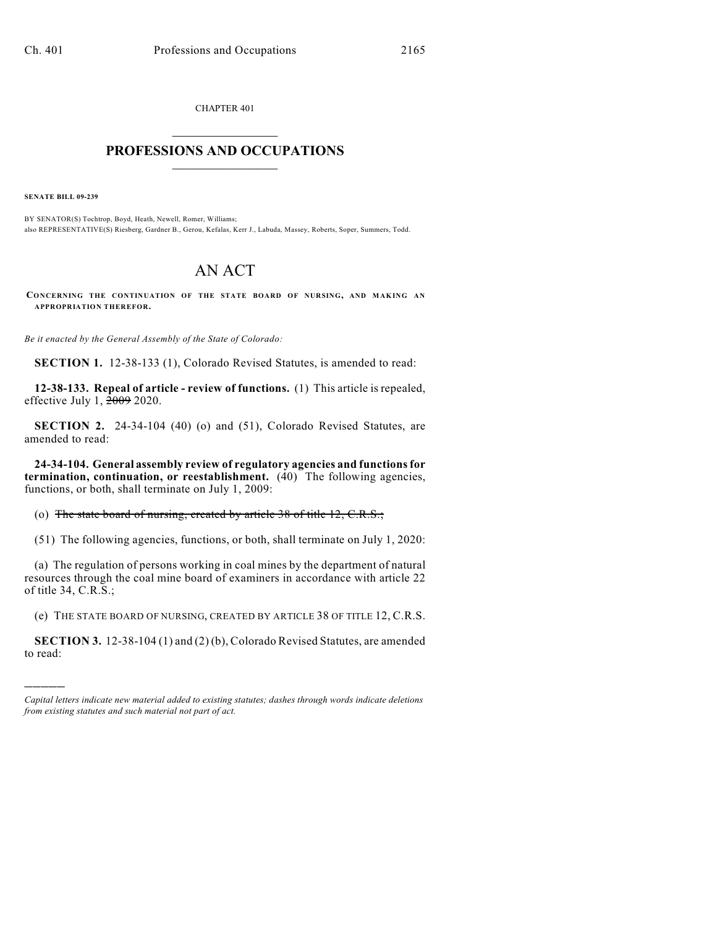CHAPTER 401

## $\mathcal{L}_\text{max}$  . The set of the set of the set of the set of the set of the set of the set of the set of the set of the set of the set of the set of the set of the set of the set of the set of the set of the set of the set **PROFESSIONS AND OCCUPATIONS**  $\frac{1}{2}$  ,  $\frac{1}{2}$  ,  $\frac{1}{2}$  ,  $\frac{1}{2}$  ,  $\frac{1}{2}$  ,  $\frac{1}{2}$

**SENATE BILL 09-239**

)))))

BY SENATOR(S) Tochtrop, Boyd, Heath, Newell, Romer, Williams; also REPRESENTATIVE(S) Riesberg, Gardner B., Gerou, Kefalas, Kerr J., Labuda, Massey, Roberts, Soper, Summers, Todd.

## AN ACT

**CONCERNING THE CONTINUATION OF THE STATE BOARD OF NURSING, AND MAKING AN APPROPRIATION THEREFOR.**

*Be it enacted by the General Assembly of the State of Colorado:*

**SECTION 1.** 12-38-133 (1), Colorado Revised Statutes, is amended to read:

**12-38-133. Repeal of article - review of functions.** (1) This article is repealed, effective July 1, 2009 2020.

**SECTION 2.** 24-34-104 (40) (o) and (51), Colorado Revised Statutes, are amended to read:

**24-34-104. General assembly review of regulatory agencies and functions for termination, continuation, or reestablishment.** (40) The following agencies, functions, or both, shall terminate on July 1, 2009:

(o) The state board of nursing, created by article 38 of title 12, C.R.S.;

(51) The following agencies, functions, or both, shall terminate on July 1, 2020:

(a) The regulation of persons working in coal mines by the department of natural resources through the coal mine board of examiners in accordance with article 22 of title 34, C.R.S.;

(e) THE STATE BOARD OF NURSING, CREATED BY ARTICLE 38 OF TITLE 12, C.R.S.

**SECTION 3.** 12-38-104 (1) and (2) (b), Colorado Revised Statutes, are amended to read:

*Capital letters indicate new material added to existing statutes; dashes through words indicate deletions from existing statutes and such material not part of act.*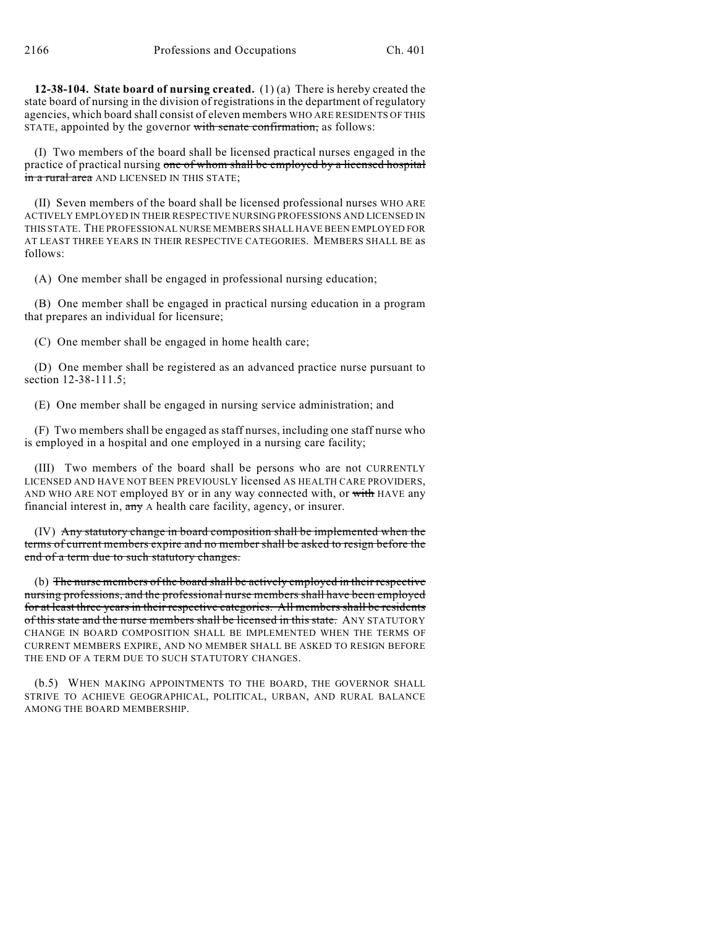**12-38-104. State board of nursing created.** (1) (a) There is hereby created the state board of nursing in the division of registrations in the department of regulatory agencies, which board shall consist of eleven members WHO ARE RESIDENTS OF THIS STATE, appointed by the governor with senate confirmation, as follows:

(I) Two members of the board shall be licensed practical nurses engaged in the practice of practical nursing one of whom shall be employed by a licensed hospital in a rural area AND LICENSED IN THIS STATE;

(II) Seven members of the board shall be licensed professional nurses WHO ARE ACTIVELY EMPLOYED IN THEIR RESPECTIVE NURSING PROFESSIONS AND LICENSED IN THIS STATE. THE PROFESSIONAL NURSE MEMBERS SHALL HAVE BEEN EMPLOYED FOR AT LEAST THREE YEARS IN THEIR RESPECTIVE CATEGORIES. MEMBERS SHALL BE as follows:

(A) One member shall be engaged in professional nursing education;

(B) One member shall be engaged in practical nursing education in a program that prepares an individual for licensure;

(C) One member shall be engaged in home health care;

(D) One member shall be registered as an advanced practice nurse pursuant to section 12-38-111.5;

(E) One member shall be engaged in nursing service administration; and

(F) Two members shall be engaged as staff nurses, including one staff nurse who is employed in a hospital and one employed in a nursing care facility;

(III) Two members of the board shall be persons who are not CURRENTLY LICENSED AND HAVE NOT BEEN PREVIOUSLY licensed AS HEALTH CARE PROVIDERS, AND WHO ARE NOT employed BY or in any way connected with, or with HAVE any financial interest in, any A health care facility, agency, or insurer.

(IV) Any statutory change in board composition shall be implemented when the terms of current members expire and no member shall be asked to resign before the end of a term due to such statutory changes.

(b) The nurse members of the board shall be actively employed in their respective nursing professions, and the professional nurse members shall have been employed for at least three years in their respective categories. All members shall be residents of this state and the nurse members shall be licensed in this state. ANY STATUTORY CHANGE IN BOARD COMPOSITION SHALL BE IMPLEMENTED WHEN THE TERMS OF CURRENT MEMBERS EXPIRE, AND NO MEMBER SHALL BE ASKED TO RESIGN BEFORE THE END OF A TERM DUE TO SUCH STATUTORY CHANGES.

(b.5) WHEN MAKING APPOINTMENTS TO THE BOARD, THE GOVERNOR SHALL STRIVE TO ACHIEVE GEOGRAPHICAL, POLITICAL, URBAN, AND RURAL BALANCE AMONG THE BOARD MEMBERSHIP.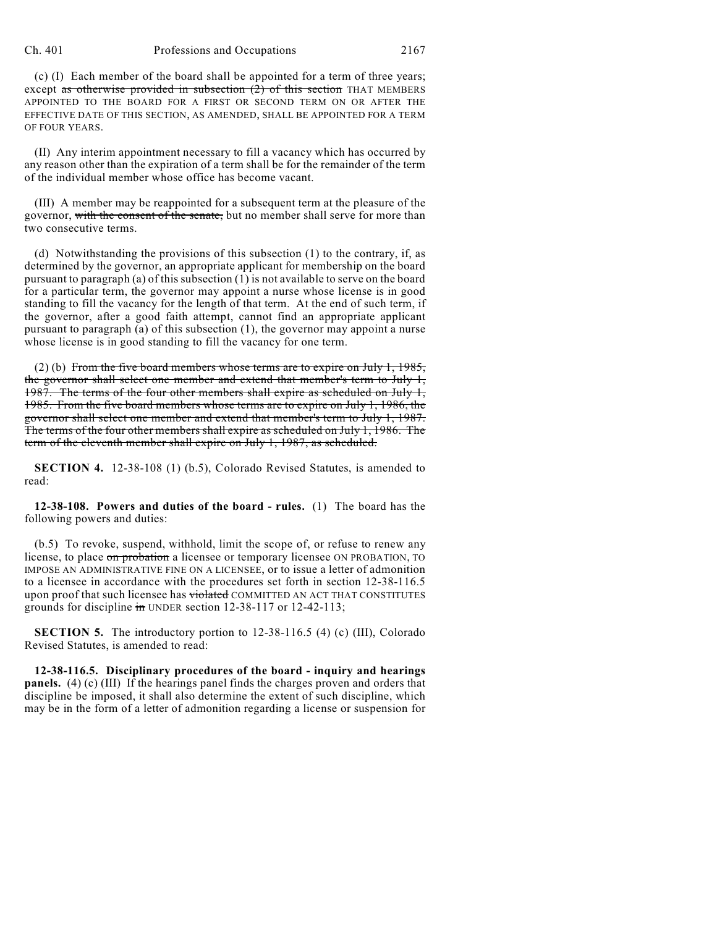## Ch. 401 Professions and Occupations 2167

(c) (I) Each member of the board shall be appointed for a term of three years; except as otherwise provided in subsection  $(2)$  of this section THAT MEMBERS APPOINTED TO THE BOARD FOR A FIRST OR SECOND TERM ON OR AFTER THE EFFECTIVE DATE OF THIS SECTION, AS AMENDED, SHALL BE APPOINTED FOR A TERM OF FOUR YEARS.

(II) Any interim appointment necessary to fill a vacancy which has occurred by any reason other than the expiration of a term shall be for the remainder of the term of the individual member whose office has become vacant.

(III) A member may be reappointed for a subsequent term at the pleasure of the governor, with the consent of the senate, but no member shall serve for more than two consecutive terms.

(d) Notwithstanding the provisions of this subsection (1) to the contrary, if, as determined by the governor, an appropriate applicant for membership on the board pursuant to paragraph (a) of this subsection  $(1)$  is not available to serve on the board for a particular term, the governor may appoint a nurse whose license is in good standing to fill the vacancy for the length of that term. At the end of such term, if the governor, after a good faith attempt, cannot find an appropriate applicant pursuant to paragraph (a) of this subsection (1), the governor may appoint a nurse whose license is in good standing to fill the vacancy for one term.

(2) (b) From the five board members whose terms are to expire on July 1, 1985, the governor shall select one member and extend that member's term to July 1, 1987. The terms of the four other members shall expire as scheduled on July 1, 1985. From the five board members whose terms are to expire on July 1, 1986, the governor shall select one member and extend that member's term to July 1, 1987. The terms of the four other members shall expire as scheduled on July 1, 1986. The term of the eleventh member shall expire on July 1, 1987, as scheduled.

**SECTION 4.** 12-38-108 (1) (b.5), Colorado Revised Statutes, is amended to read:

**12-38-108. Powers and duties of the board - rules.** (1) The board has the following powers and duties:

(b.5) To revoke, suspend, withhold, limit the scope of, or refuse to renew any license, to place on probation a licensee or temporary licensee ON PROBATION, TO IMPOSE AN ADMINISTRATIVE FINE ON A LICENSEE, or to issue a letter of admonition to a licensee in accordance with the procedures set forth in section 12-38-116.5 upon proof that such licensee has violated COMMITTED AN ACT THAT CONSTITUTES grounds for discipline in UNDER section 12-38-117 or 12-42-113;

**SECTION 5.** The introductory portion to 12-38-116.5 (4) (c) (III), Colorado Revised Statutes, is amended to read:

**12-38-116.5. Disciplinary procedures of the board - inquiry and hearings panels.** (4) (c) (III) If the hearings panel finds the charges proven and orders that discipline be imposed, it shall also determine the extent of such discipline, which may be in the form of a letter of admonition regarding a license or suspension for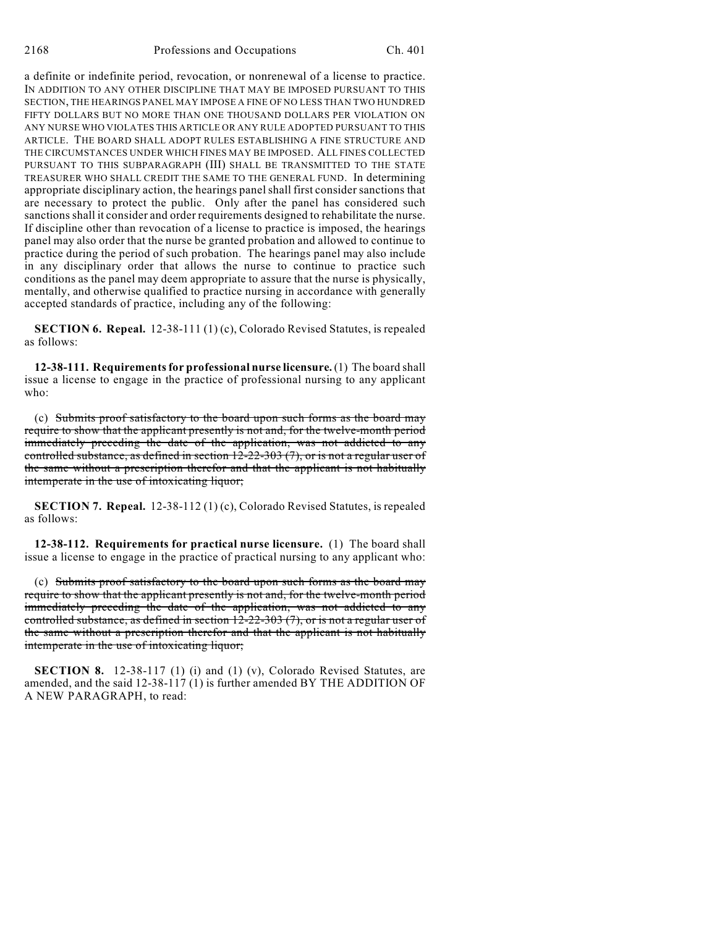a definite or indefinite period, revocation, or nonrenewal of a license to practice. IN ADDITION TO ANY OTHER DISCIPLINE THAT MAY BE IMPOSED PURSUANT TO THIS SECTION, THE HEARINGS PANEL MAY IMPOSE A FINE OF NO LESS THAN TWO HUNDRED FIFTY DOLLARS BUT NO MORE THAN ONE THOUSAND DOLLARS PER VIOLATION ON ANY NURSE WHO VIOLATES THIS ARTICLE OR ANY RULE ADOPTED PURSUANT TO THIS ARTICLE. THE BOARD SHALL ADOPT RULES ESTABLISHING A FINE STRUCTURE AND THE CIRCUMSTANCES UNDER WHICH FINES MAY BE IMPOSED. ALL FINES COLLECTED PURSUANT TO THIS SUBPARAGRAPH (III) SHALL BE TRANSMITTED TO THE STATE TREASURER WHO SHALL CREDIT THE SAME TO THE GENERAL FUND. In determining appropriate disciplinary action, the hearings panelshall first consider sanctions that are necessary to protect the public. Only after the panel has considered such sanctions shall it consider and order requirements designed to rehabilitate the nurse. If discipline other than revocation of a license to practice is imposed, the hearings panel may also order that the nurse be granted probation and allowed to continue to practice during the period of such probation. The hearings panel may also include in any disciplinary order that allows the nurse to continue to practice such conditions as the panel may deem appropriate to assure that the nurse is physically, mentally, and otherwise qualified to practice nursing in accordance with generally accepted standards of practice, including any of the following:

**SECTION 6. Repeal.** 12-38-111 (1) (c), Colorado Revised Statutes, is repealed as follows:

**12-38-111. Requirements for professional nurse licensure.** (1) The board shall issue a license to engage in the practice of professional nursing to any applicant who:

(c) Submits proof satisfactory to the board upon such forms as the board may require to show that the applicant presently is not and, for the twelve-month period immediately preceding the date of the application, was not addicted to any controlled substance, as defined in section 12-22-303 (7), or is not a regular user of the same without a prescription therefor and that the applicant is not habitually intemperate in the use of intoxicating liquor;

**SECTION 7. Repeal.** 12-38-112 (1) (c), Colorado Revised Statutes, is repealed as follows:

**12-38-112. Requirements for practical nurse licensure.** (1) The board shall issue a license to engage in the practice of practical nursing to any applicant who:

(c) Submits proof satisfactory to the board upon such forms as the board may require to show that the applicant presently is not and, for the twelve-month period immediately preceding the date of the application, was not addicted to any controlled substance, as defined in section 12-22-303 (7), or is not a regular user of the same without a prescription therefor and that the applicant is not habitually intemperate in the use of intoxicating liquor;

**SECTION 8.** 12-38-117 (1) (i) and (1) (v), Colorado Revised Statutes, are amended, and the said 12-38-117 (1) is further amended BY THE ADDITION OF A NEW PARAGRAPH, to read: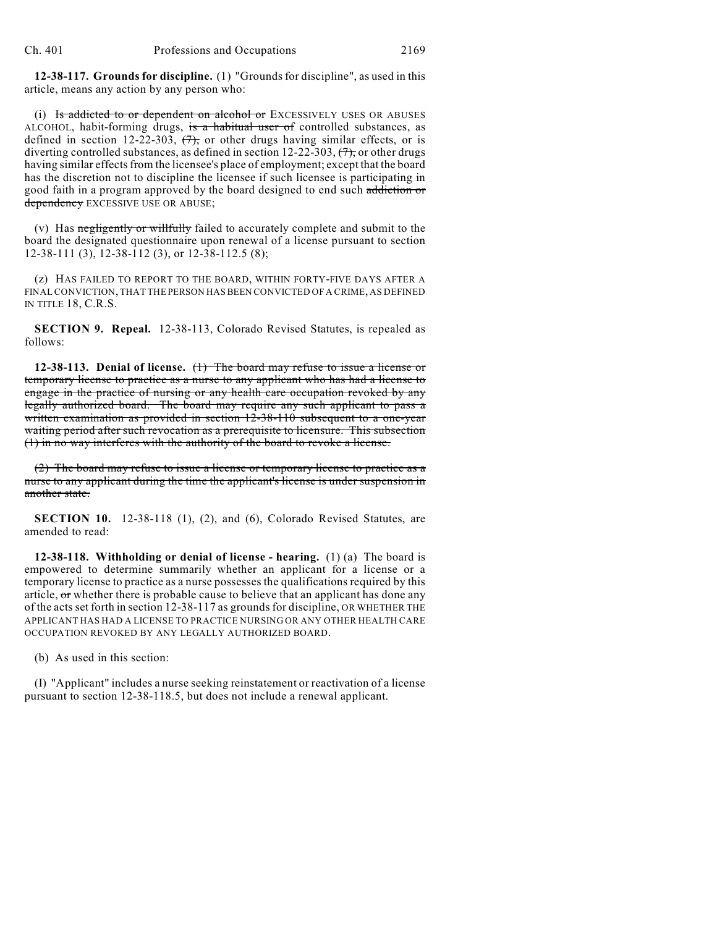**12-38-117. Grounds for discipline.** (1) "Grounds for discipline", as used in this article, means any action by any person who:

(i) Is addicted to or dependent on alcohol or EXCESSIVELY USES OR ABUSES ALCOHOL, habit-forming drugs, is a habitual user of controlled substances, as defined in section 12-22-303,  $(7)$ , or other drugs having similar effects, or is diverting controlled substances, as defined in section 12-22-303,  $(7)$ , or other drugs having similar effects from the licensee's place of employment; except that the board has the discretion not to discipline the licensee if such licensee is participating in good faith in a program approved by the board designed to end such addiction or dependency EXCESSIVE USE OR ABUSE;

(v) Has negligently or willfully failed to accurately complete and submit to the board the designated questionnaire upon renewal of a license pursuant to section 12-38-111 (3), 12-38-112 (3), or 12-38-112.5 (8);

(z) HAS FAILED TO REPORT TO THE BOARD, WITHIN FORTY-FIVE DAYS AFTER A FINAL CONVICTION, THAT THE PERSON HAS BEEN CONVICTED OF A CRIME, AS DEFINED IN TITLE 18, C.R.S.

**SECTION 9. Repeal.** 12-38-113, Colorado Revised Statutes, is repealed as follows:

**12-38-113. Denial of license.** (1) The board may refuse to issue a license or temporary license to practice as a nurse to any applicant who has had a license to engage in the practice of nursing or any health care occupation revoked by any legally authorized board. The board may require any such applicant to pass a written examination as provided in section 12-38-110 subsequent to a one-year waiting period after such revocation as a prerequisite to licensure. This subsection (1) in no way interferes with the authority of the board to revoke a license.

(2) The board may refuse to issue a license or temporary license to practice as a nurse to any applicant during the time the applicant's license is under suspension in another state.

**SECTION 10.** 12-38-118 (1), (2), and (6), Colorado Revised Statutes, are amended to read:

**12-38-118. Withholding or denial of license - hearing.** (1) (a) The board is empowered to determine summarily whether an applicant for a license or a temporary license to practice as a nurse possesses the qualifications required by this article, or whether there is probable cause to believe that an applicant has done any of the acts set forth in section 12-38-117 as grounds for discipline, OR WHETHER THE APPLICANT HAS HAD A LICENSE TO PRACTICE NURSING OR ANY OTHER HEALTH CARE OCCUPATION REVOKED BY ANY LEGALLY AUTHORIZED BOARD.

(b) As used in this section:

(I) "Applicant" includes a nurse seeking reinstatement or reactivation of a license pursuant to section 12-38-118.5, but does not include a renewal applicant.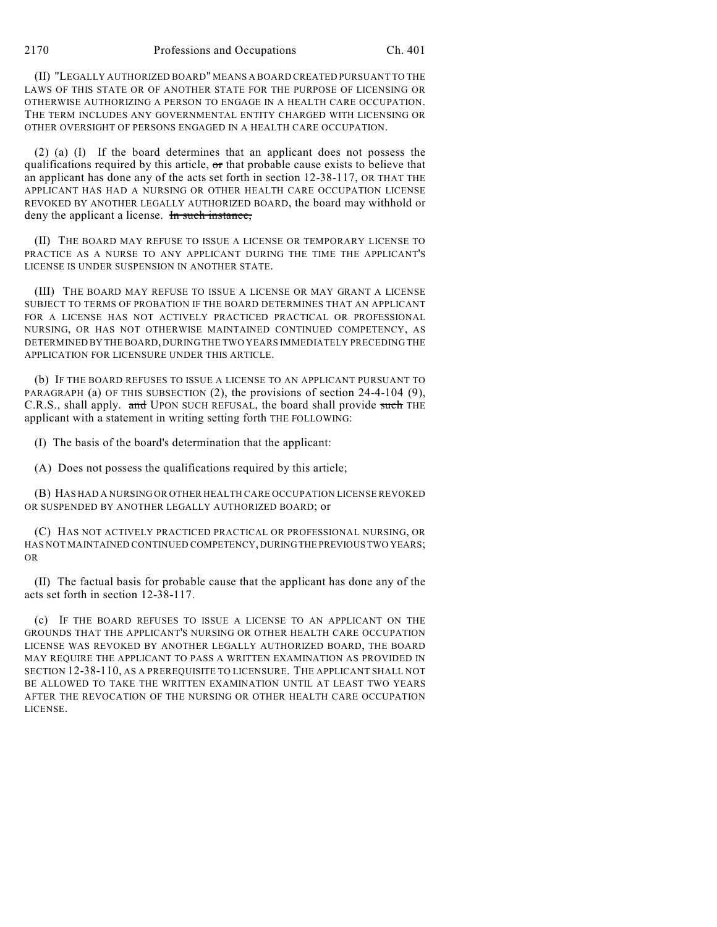(II) "LEGALLY AUTHORIZED BOARD" MEANS A BOARD CREATED PURSUANT TO THE LAWS OF THIS STATE OR OF ANOTHER STATE FOR THE PURPOSE OF LICENSING OR OTHERWISE AUTHORIZING A PERSON TO ENGAGE IN A HEALTH CARE OCCUPATION. THE TERM INCLUDES ANY GOVERNMENTAL ENTITY CHARGED WITH LICENSING OR OTHER OVERSIGHT OF PERSONS ENGAGED IN A HEALTH CARE OCCUPATION.

(2) (a) (I) If the board determines that an applicant does not possess the qualifications required by this article, or that probable cause exists to believe that an applicant has done any of the acts set forth in section 12-38-117, OR THAT THE APPLICANT HAS HAD A NURSING OR OTHER HEALTH CARE OCCUPATION LICENSE REVOKED BY ANOTHER LEGALLY AUTHORIZED BOARD, the board may withhold or deny the applicant a license. In such instance,

(II) THE BOARD MAY REFUSE TO ISSUE A LICENSE OR TEMPORARY LICENSE TO PRACTICE AS A NURSE TO ANY APPLICANT DURING THE TIME THE APPLICANT'S LICENSE IS UNDER SUSPENSION IN ANOTHER STATE.

(III) THE BOARD MAY REFUSE TO ISSUE A LICENSE OR MAY GRANT A LICENSE SUBJECT TO TERMS OF PROBATION IF THE BOARD DETERMINES THAT AN APPLICANT FOR A LICENSE HAS NOT ACTIVELY PRACTICED PRACTICAL OR PROFESSIONAL NURSING, OR HAS NOT OTHERWISE MAINTAINED CONTINUED COMPETENCY, AS DETERMINED BY THE BOARD, DURING THE TWO YEARS IMMEDIATELY PRECEDING THE APPLICATION FOR LICENSURE UNDER THIS ARTICLE.

(b) IF THE BOARD REFUSES TO ISSUE A LICENSE TO AN APPLICANT PURSUANT TO PARAGRAPH (a) OF THIS SUBSECTION (2), the provisions of section 24-4-104 (9), C.R.S., shall apply. and UPON SUCH REFUSAL, the board shall provide such THE applicant with a statement in writing setting forth THE FOLLOWING:

(I) The basis of the board's determination that the applicant:

(A) Does not possess the qualifications required by this article;

(B) HAS HAD A NURSING OR OTHER HEALTH CARE OCCUPATION LICENSE REVOKED OR SUSPENDED BY ANOTHER LEGALLY AUTHORIZED BOARD; or

(C) HAS NOT ACTIVELY PRACTICED PRACTICAL OR PROFESSIONAL NURSING, OR HAS NOT MAINTAINED CONTINUED COMPETENCY, DURING THE PREVIOUS TWO YEARS; OR

(II) The factual basis for probable cause that the applicant has done any of the acts set forth in section 12-38-117.

(c) IF THE BOARD REFUSES TO ISSUE A LICENSE TO AN APPLICANT ON THE GROUNDS THAT THE APPLICANT'S NURSING OR OTHER HEALTH CARE OCCUPATION LICENSE WAS REVOKED BY ANOTHER LEGALLY AUTHORIZED BOARD, THE BOARD MAY REQUIRE THE APPLICANT TO PASS A WRITTEN EXAMINATION AS PROVIDED IN SECTION 12-38-110, AS A PREREQUISITE TO LICENSURE. THE APPLICANT SHALL NOT BE ALLOWED TO TAKE THE WRITTEN EXAMINATION UNTIL AT LEAST TWO YEARS AFTER THE REVOCATION OF THE NURSING OR OTHER HEALTH CARE OCCUPATION LICENSE.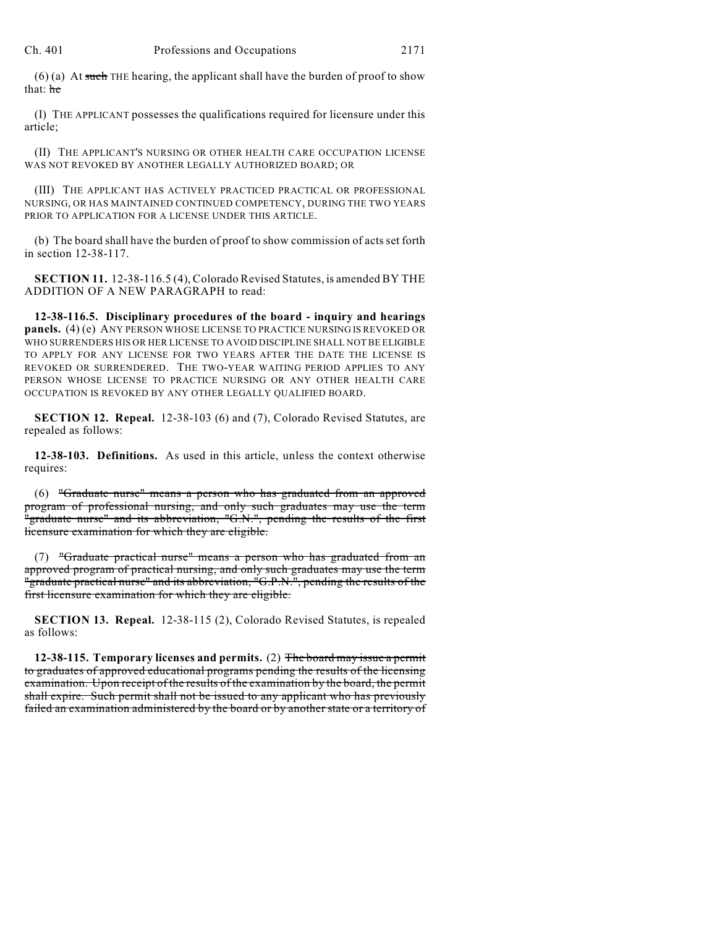$(6)$  (a) At such THE hearing, the applicant shall have the burden of proof to show that: he

(I) THE APPLICANT possesses the qualifications required for licensure under this article;

(II) THE APPLICANT'S NURSING OR OTHER HEALTH CARE OCCUPATION LICENSE WAS NOT REVOKED BY ANOTHER LEGALLY AUTHORIZED BOARD; OR

(III) THE APPLICANT HAS ACTIVELY PRACTICED PRACTICAL OR PROFESSIONAL NURSING, OR HAS MAINTAINED CONTINUED COMPETENCY, DURING THE TWO YEARS PRIOR TO APPLICATION FOR A LICENSE UNDER THIS ARTICLE.

(b) The board shall have the burden of proof to show commission of acts set forth in section 12-38-117.

**SECTION 11.** 12-38-116.5 (4), Colorado Revised Statutes, is amended BY THE ADDITION OF A NEW PARAGRAPH to read:

**12-38-116.5. Disciplinary procedures of the board - inquiry and hearings panels.** (4) (e) ANY PERSON WHOSE LICENSE TO PRACTICE NURSING IS REVOKED OR WHO SURRENDERS HIS OR HER LICENSE TO AVOID DISCIPLINE SHALL NOT BE ELIGIBLE TO APPLY FOR ANY LICENSE FOR TWO YEARS AFTER THE DATE THE LICENSE IS REVOKED OR SURRENDERED. THE TWO-YEAR WAITING PERIOD APPLIES TO ANY PERSON WHOSE LICENSE TO PRACTICE NURSING OR ANY OTHER HEALTH CARE OCCUPATION IS REVOKED BY ANY OTHER LEGALLY QUALIFIED BOARD.

**SECTION 12. Repeal.** 12-38-103 (6) and (7), Colorado Revised Statutes, are repealed as follows:

**12-38-103. Definitions.** As used in this article, unless the context otherwise requires:

(6) "Graduate nurse" means a person who has graduated from an approved program of professional nursing, and only such graduates may use the term "graduate nurse" and its abbreviation, "G.N.", pending the results of the first licensure examination for which they are eligible.

(7) "Graduate practical nurse" means a person who has graduated from an approved program of practical nursing, and only such graduates may use the term "graduate practical nurse" and its abbreviation, "G.P.N.", pending the results of the first licensure examination for which they are eligible.

**SECTION 13. Repeal.** 12-38-115 (2), Colorado Revised Statutes, is repealed as follows:

**12-38-115. Temporary licenses and permits.** (2) The board may issue a permit to graduates of approved educational programs pending the results of the licensing examination. Upon receipt of the results of the examination by the board, the permit shall expire. Such permit shall not be issued to any applicant who has previously failed an examination administered by the board or by another state or a territory of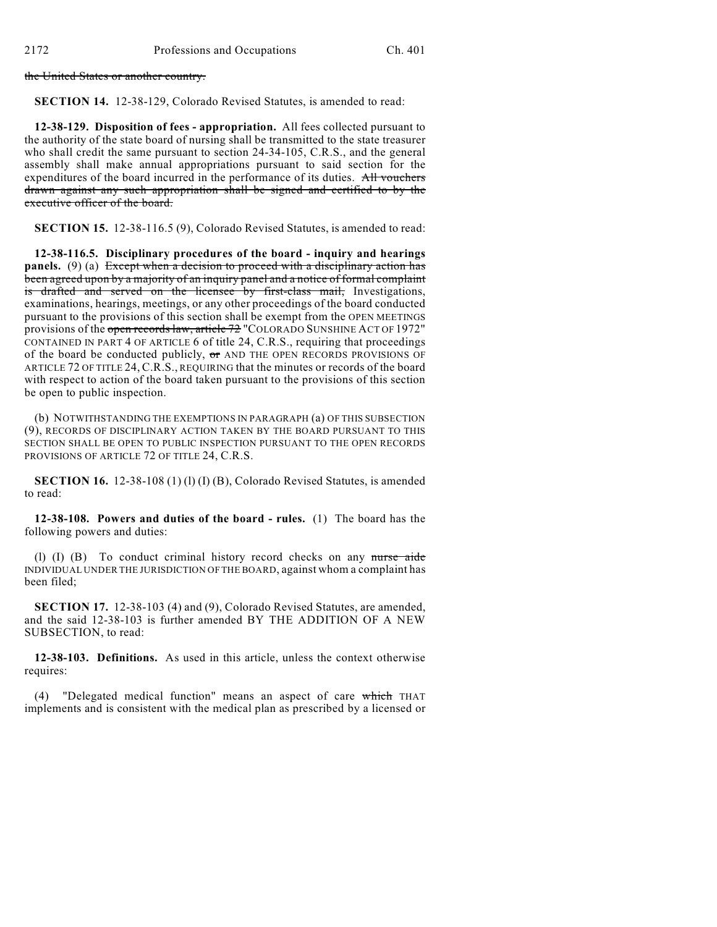the United States or another country.

**SECTION 14.** 12-38-129, Colorado Revised Statutes, is amended to read:

**12-38-129. Disposition of fees - appropriation.** All fees collected pursuant to the authority of the state board of nursing shall be transmitted to the state treasurer who shall credit the same pursuant to section 24-34-105, C.R.S., and the general assembly shall make annual appropriations pursuant to said section for the expenditures of the board incurred in the performance of its duties. All vouchers drawn against any such appropriation shall be signed and certified to by the executive officer of the board.

**SECTION 15.** 12-38-116.5 (9), Colorado Revised Statutes, is amended to read:

**12-38-116.5. Disciplinary procedures of the board - inquiry and hearings panels.** (9) (a) Except when a decision to proceed with a disciplinary action has been agreed upon by a majority of an inquiry panel and a notice of formal complaint is drafted and served on the licensee by first-class mail, Investigations, examinations, hearings, meetings, or any other proceedings of the board conducted pursuant to the provisions of this section shall be exempt from the OPEN MEETINGS provisions of the open records law, article 72 "COLORADO SUNSHINE ACT OF 1972" CONTAINED IN PART 4 OF ARTICLE 6 of title 24, C.R.S., requiring that proceedings of the board be conducted publicly,  $\sigma$  and the open records provisions of ARTICLE 72 OF TITLE 24, C.R.S., REQUIRING that the minutes or records of the board with respect to action of the board taken pursuant to the provisions of this section be open to public inspection.

(b) NOTWITHSTANDING THE EXEMPTIONS IN PARAGRAPH (a) OF THIS SUBSECTION (9), RECORDS OF DISCIPLINARY ACTION TAKEN BY THE BOARD PURSUANT TO THIS SECTION SHALL BE OPEN TO PUBLIC INSPECTION PURSUANT TO THE OPEN RECORDS PROVISIONS OF ARTICLE 72 OF TITLE 24, C.R.S.

**SECTION 16.** 12-38-108 (1) (1) (I) (B), Colorado Revised Statutes, is amended to read:

**12-38-108. Powers and duties of the board - rules.** (1) The board has the following powers and duties:

(1) (I) (B) To conduct criminal history record checks on any nurse aide INDIVIDUAL UNDER THE JURISDICTION OF THE BOARD, against whom a complaint has been filed;

**SECTION 17.** 12-38-103 (4) and (9), Colorado Revised Statutes, are amended, and the said 12-38-103 is further amended BY THE ADDITION OF A NEW SUBSECTION, to read:

**12-38-103. Definitions.** As used in this article, unless the context otherwise requires:

(4) "Delegated medical function" means an aspect of care which THAT implements and is consistent with the medical plan as prescribed by a licensed or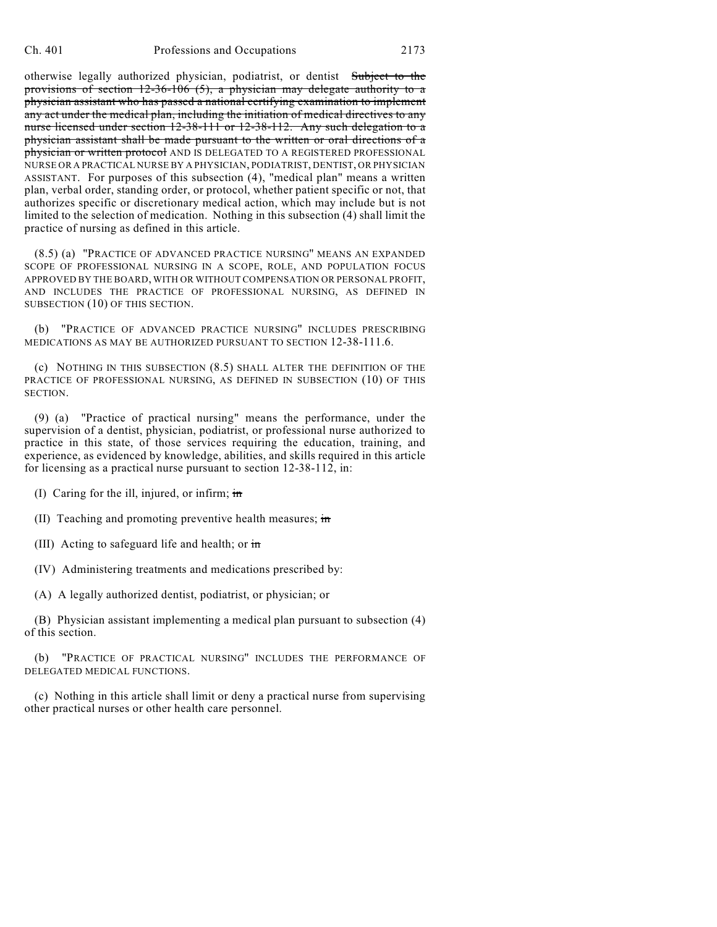otherwise legally authorized physician, podiatrist, or dentist Subject to the provisions of section 12-36-106 (5), a physician may delegate authority to a physician assistant who has passed a national certifying examination to implement any act under the medical plan, including the initiation of medical directives to any nurse licensed under section 12-38-111 or 12-38-112. Any such delegation to a physician assistant shall be made pursuant to the written or oral directions of a physician or written protocol AND IS DELEGATED TO A REGISTERED PROFESSIONAL NURSE OR A PRACTICAL NURSE BY A PHYSICIAN, PODIATRIST, DENTIST, OR PHYSICIAN ASSISTANT. For purposes of this subsection (4), "medical plan" means a written plan, verbal order, standing order, or protocol, whether patient specific or not, that authorizes specific or discretionary medical action, which may include but is not limited to the selection of medication. Nothing in this subsection (4) shall limit the practice of nursing as defined in this article.

(8.5) (a) "PRACTICE OF ADVANCED PRACTICE NURSING" MEANS AN EXPANDED SCOPE OF PROFESSIONAL NURSING IN A SCOPE, ROLE, AND POPULATION FOCUS APPROVED BY THE BOARD, WITH OR WITHOUT COMPENSATION OR PERSONAL PROFIT, AND INCLUDES THE PRACTICE OF PROFESSIONAL NURSING, AS DEFINED IN SUBSECTION (10) OF THIS SECTION.

(b) "PRACTICE OF ADVANCED PRACTICE NURSING" INCLUDES PRESCRIBING MEDICATIONS AS MAY BE AUTHORIZED PURSUANT TO SECTION 12-38-111.6.

(c) NOTHING IN THIS SUBSECTION (8.5) SHALL ALTER THE DEFINITION OF THE PRACTICE OF PROFESSIONAL NURSING, AS DEFINED IN SUBSECTION (10) OF THIS SECTION.

(9) (a) "Practice of practical nursing" means the performance, under the supervision of a dentist, physician, podiatrist, or professional nurse authorized to practice in this state, of those services requiring the education, training, and experience, as evidenced by knowledge, abilities, and skills required in this article for licensing as a practical nurse pursuant to section 12-38-112, in:

(I) Caring for the ill, injured, or infirm;  $\frac{1}{10}$ 

(II) Teaching and promoting preventive health measures; in

(III) Acting to safeguard life and health; or  $\frac{1}{10}$ 

(IV) Administering treatments and medications prescribed by:

(A) A legally authorized dentist, podiatrist, or physician; or

(B) Physician assistant implementing a medical plan pursuant to subsection (4) of this section.

(b) "PRACTICE OF PRACTICAL NURSING" INCLUDES THE PERFORMANCE OF DELEGATED MEDICAL FUNCTIONS.

(c) Nothing in this article shall limit or deny a practical nurse from supervising other practical nurses or other health care personnel.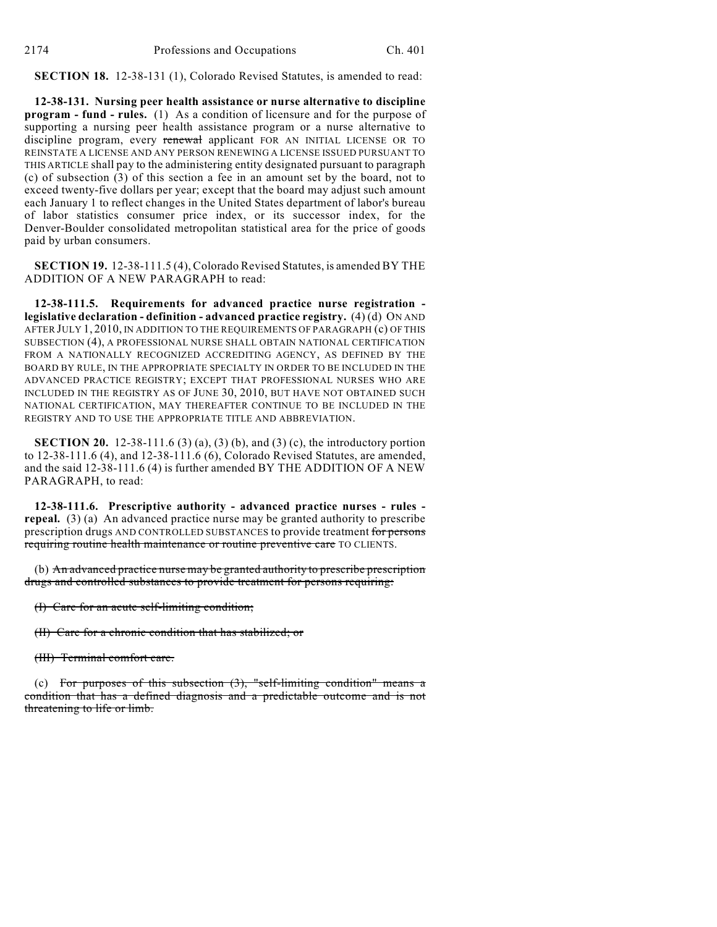**SECTION 18.** 12-38-131 (1), Colorado Revised Statutes, is amended to read:

**12-38-131. Nursing peer health assistance or nurse alternative to discipline program - fund - rules.** (1) As a condition of licensure and for the purpose of supporting a nursing peer health assistance program or a nurse alternative to discipline program, every renewal applicant FOR AN INITIAL LICENSE OR TO REINSTATE A LICENSE AND ANY PERSON RENEWING A LICENSE ISSUED PURSUANT TO THIS ARTICLE shall pay to the administering entity designated pursuant to paragraph (c) of subsection (3) of this section a fee in an amount set by the board, not to exceed twenty-five dollars per year; except that the board may adjust such amount each January 1 to reflect changes in the United States department of labor's bureau of labor statistics consumer price index, or its successor index, for the Denver-Boulder consolidated metropolitan statistical area for the price of goods paid by urban consumers.

**SECTION 19.** 12-38-111.5 (4), Colorado Revised Statutes, is amended BY THE ADDITION OF A NEW PARAGRAPH to read:

**12-38-111.5. Requirements for advanced practice nurse registration legislative declaration - definition - advanced practice registry.** (4) (d) ON AND AFTER JULY 1, 2010, IN ADDITION TO THE REQUIREMENTS OF PARAGRAPH (c) OF THIS SUBSECTION (4), A PROFESSIONAL NURSE SHALL OBTAIN NATIONAL CERTIFICATION FROM A NATIONALLY RECOGNIZED ACCREDITING AGENCY, AS DEFINED BY THE BOARD BY RULE, IN THE APPROPRIATE SPECIALTY IN ORDER TO BE INCLUDED IN THE ADVANCED PRACTICE REGISTRY; EXCEPT THAT PROFESSIONAL NURSES WHO ARE INCLUDED IN THE REGISTRY AS OF JUNE 30, 2010, BUT HAVE NOT OBTAINED SUCH NATIONAL CERTIFICATION, MAY THEREAFTER CONTINUE TO BE INCLUDED IN THE REGISTRY AND TO USE THE APPROPRIATE TITLE AND ABBREVIATION.

**SECTION 20.** 12-38-111.6 (3) (a), (3) (b), and (3) (c), the introductory portion to 12-38-111.6 (4), and 12-38-111.6 (6), Colorado Revised Statutes, are amended, and the said 12-38-111.6 (4) is further amended BY THE ADDITION OF A NEW PARAGRAPH, to read:

**12-38-111.6. Prescriptive authority - advanced practice nurses - rules repeal.** (3) (a) An advanced practice nurse may be granted authority to prescribe prescription drugs AND CONTROLLED SUBSTANCES to provide treatment for persons requiring routine health maintenance or routine preventive care TO CLIENTS.

(b) An advanced practice nurse may be granted authority to prescribe prescription drugs and controlled substances to provide treatment for persons requiring:

(I) Care for an acute self-limiting condition;

(II) Care for a chronic condition that has stabilized; or

(III) Terminal comfort care.

(c) For purposes of this subsection  $(3)$ , "self-limiting condition" means a condition that has a defined diagnosis and a predictable outcome and is not threatening to life or limb.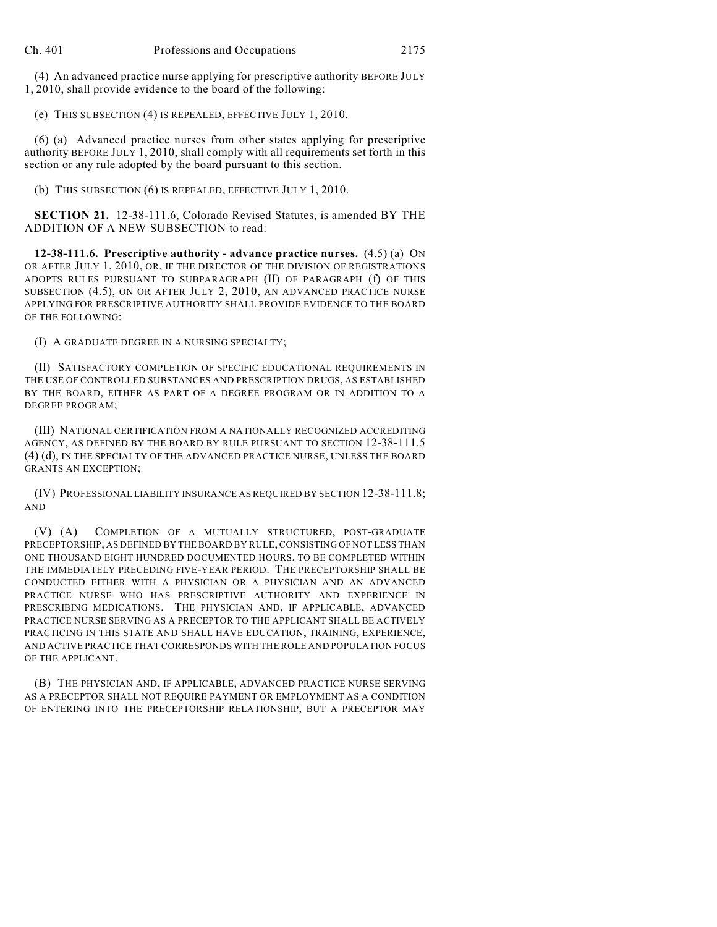(4) An advanced practice nurse applying for prescriptive authority BEFORE JULY 1, 2010, shall provide evidence to the board of the following:

(e) THIS SUBSECTION (4) IS REPEALED, EFFECTIVE JULY 1, 2010.

(6) (a) Advanced practice nurses from other states applying for prescriptive authority BEFORE JULY 1, 2010, shall comply with all requirements set forth in this section or any rule adopted by the board pursuant to this section.

(b) THIS SUBSECTION (6) IS REPEALED, EFFECTIVE JULY 1, 2010.

**SECTION 21.** 12-38-111.6, Colorado Revised Statutes, is amended BY THE ADDITION OF A NEW SUBSECTION to read:

**12-38-111.6. Prescriptive authority - advance practice nurses.** (4.5) (a) ON OR AFTER JULY 1, 2010, OR, IF THE DIRECTOR OF THE DIVISION OF REGISTRATIONS ADOPTS RULES PURSUANT TO SUBPARAGRAPH (II) OF PARAGRAPH (f) OF THIS SUBSECTION (4.5), ON OR AFTER JULY 2, 2010, AN ADVANCED PRACTICE NURSE APPLYING FOR PRESCRIPTIVE AUTHORITY SHALL PROVIDE EVIDENCE TO THE BOARD OF THE FOLLOWING:

(I) A GRADUATE DEGREE IN A NURSING SPECIALTY;

(II) SATISFACTORY COMPLETION OF SPECIFIC EDUCATIONAL REQUIREMENTS IN THE USE OF CONTROLLED SUBSTANCES AND PRESCRIPTION DRUGS, AS ESTABLISHED BY THE BOARD, EITHER AS PART OF A DEGREE PROGRAM OR IN ADDITION TO A DEGREE PROGRAM;

(III) NATIONAL CERTIFICATION FROM A NATIONALLY RECOGNIZED ACCREDITING AGENCY, AS DEFINED BY THE BOARD BY RULE PURSUANT TO SECTION 12-38-111.5 (4) (d), IN THE SPECIALTY OF THE ADVANCED PRACTICE NURSE, UNLESS THE BOARD GRANTS AN EXCEPTION;

(IV) PROFESSIONAL LIABILITY INSURANCE AS REQUIRED BY SECTION 12-38-111.8; AND

(V) (A) COMPLETION OF A MUTUALLY STRUCTURED, POST-GRADUATE PRECEPTORSHIP, AS DEFINED BY THE BOARD BY RULE, CONSISTING OF NOT LESS THAN ONE THOUSAND EIGHT HUNDRED DOCUMENTED HOURS, TO BE COMPLETED WITHIN THE IMMEDIATELY PRECEDING FIVE-YEAR PERIOD. THE PRECEPTORSHIP SHALL BE CONDUCTED EITHER WITH A PHYSICIAN OR A PHYSICIAN AND AN ADVANCED PRACTICE NURSE WHO HAS PRESCRIPTIVE AUTHORITY AND EXPERIENCE IN PRESCRIBING MEDICATIONS. THE PHYSICIAN AND, IF APPLICABLE, ADVANCED PRACTICE NURSE SERVING AS A PRECEPTOR TO THE APPLICANT SHALL BE ACTIVELY PRACTICING IN THIS STATE AND SHALL HAVE EDUCATION, TRAINING, EXPERIENCE, AND ACTIVE PRACTICE THAT CORRESPONDS WITH THE ROLE AND POPULATION FOCUS OF THE APPLICANT.

(B) THE PHYSICIAN AND, IF APPLICABLE, ADVANCED PRACTICE NURSE SERVING AS A PRECEPTOR SHALL NOT REQUIRE PAYMENT OR EMPLOYMENT AS A CONDITION OF ENTERING INTO THE PRECEPTORSHIP RELATIONSHIP, BUT A PRECEPTOR MAY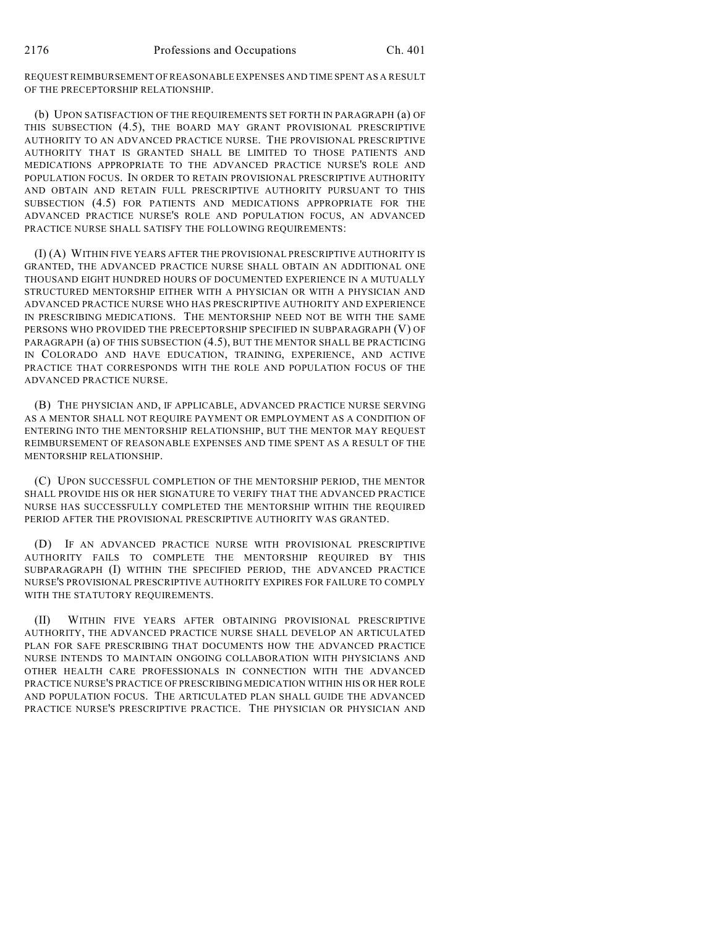REQUEST REIMBURSEMENT OF REASONABLE EXPENSES AND TIME SPENT AS A RESULT OF THE PRECEPTORSHIP RELATIONSHIP.

(b) UPON SATISFACTION OF THE REQUIREMENTS SET FORTH IN PARAGRAPH (a) OF THIS SUBSECTION (4.5), THE BOARD MAY GRANT PROVISIONAL PRESCRIPTIVE AUTHORITY TO AN ADVANCED PRACTICE NURSE. THE PROVISIONAL PRESCRIPTIVE AUTHORITY THAT IS GRANTED SHALL BE LIMITED TO THOSE PATIENTS AND MEDICATIONS APPROPRIATE TO THE ADVANCED PRACTICE NURSE'S ROLE AND POPULATION FOCUS. IN ORDER TO RETAIN PROVISIONAL PRESCRIPTIVE AUTHORITY AND OBTAIN AND RETAIN FULL PRESCRIPTIVE AUTHORITY PURSUANT TO THIS SUBSECTION (4.5) FOR PATIENTS AND MEDICATIONS APPROPRIATE FOR THE ADVANCED PRACTICE NURSE'S ROLE AND POPULATION FOCUS, AN ADVANCED PRACTICE NURSE SHALL SATISFY THE FOLLOWING REQUIREMENTS:

(I) (A) WITHIN FIVE YEARS AFTER THE PROVISIONAL PRESCRIPTIVE AUTHORITY IS GRANTED, THE ADVANCED PRACTICE NURSE SHALL OBTAIN AN ADDITIONAL ONE THOUSAND EIGHT HUNDRED HOURS OF DOCUMENTED EXPERIENCE IN A MUTUALLY STRUCTURED MENTORSHIP EITHER WITH A PHYSICIAN OR WITH A PHYSICIAN AND ADVANCED PRACTICE NURSE WHO HAS PRESCRIPTIVE AUTHORITY AND EXPERIENCE IN PRESCRIBING MEDICATIONS. THE MENTORSHIP NEED NOT BE WITH THE SAME PERSONS WHO PROVIDED THE PRECEPTORSHIP SPECIFIED IN SUBPARAGRAPH (V) OF PARAGRAPH (a) OF THIS SUBSECTION (4.5), BUT THE MENTOR SHALL BE PRACTICING IN COLORADO AND HAVE EDUCATION, TRAINING, EXPERIENCE, AND ACTIVE PRACTICE THAT CORRESPONDS WITH THE ROLE AND POPULATION FOCUS OF THE ADVANCED PRACTICE NURSE.

(B) THE PHYSICIAN AND, IF APPLICABLE, ADVANCED PRACTICE NURSE SERVING AS A MENTOR SHALL NOT REQUIRE PAYMENT OR EMPLOYMENT AS A CONDITION OF ENTERING INTO THE MENTORSHIP RELATIONSHIP, BUT THE MENTOR MAY REQUEST REIMBURSEMENT OF REASONABLE EXPENSES AND TIME SPENT AS A RESULT OF THE MENTORSHIP RELATIONSHIP.

(C) UPON SUCCESSFUL COMPLETION OF THE MENTORSHIP PERIOD, THE MENTOR SHALL PROVIDE HIS OR HER SIGNATURE TO VERIFY THAT THE ADVANCED PRACTICE NURSE HAS SUCCESSFULLY COMPLETED THE MENTORSHIP WITHIN THE REQUIRED PERIOD AFTER THE PROVISIONAL PRESCRIPTIVE AUTHORITY WAS GRANTED.

(D) IF AN ADVANCED PRACTICE NURSE WITH PROVISIONAL PRESCRIPTIVE AUTHORITY FAILS TO COMPLETE THE MENTORSHIP REQUIRED BY THIS SUBPARAGRAPH (I) WITHIN THE SPECIFIED PERIOD, THE ADVANCED PRACTICE NURSE'S PROVISIONAL PRESCRIPTIVE AUTHORITY EXPIRES FOR FAILURE TO COMPLY WITH THE STATUTORY REQUIREMENTS.

(II) WITHIN FIVE YEARS AFTER OBTAINING PROVISIONAL PRESCRIPTIVE AUTHORITY, THE ADVANCED PRACTICE NURSE SHALL DEVELOP AN ARTICULATED PLAN FOR SAFE PRESCRIBING THAT DOCUMENTS HOW THE ADVANCED PRACTICE NURSE INTENDS TO MAINTAIN ONGOING COLLABORATION WITH PHYSICIANS AND OTHER HEALTH CARE PROFESSIONALS IN CONNECTION WITH THE ADVANCED PRACTICE NURSE'S PRACTICE OF PRESCRIBING MEDICATION WITHIN HIS OR HER ROLE AND POPULATION FOCUS. THE ARTICULATED PLAN SHALL GUIDE THE ADVANCED PRACTICE NURSE'S PRESCRIPTIVE PRACTICE. THE PHYSICIAN OR PHYSICIAN AND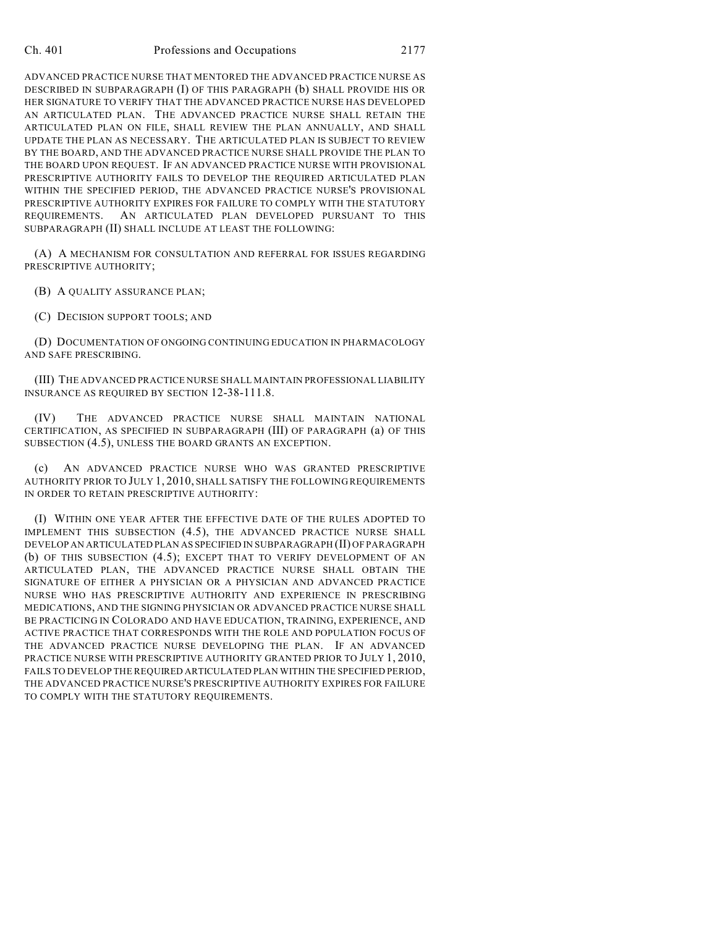ADVANCED PRACTICE NURSE THAT MENTORED THE ADVANCED PRACTICE NURSE AS DESCRIBED IN SUBPARAGRAPH (I) OF THIS PARAGRAPH (b) SHALL PROVIDE HIS OR HER SIGNATURE TO VERIFY THAT THE ADVANCED PRACTICE NURSE HAS DEVELOPED AN ARTICULATED PLAN. THE ADVANCED PRACTICE NURSE SHALL RETAIN THE ARTICULATED PLAN ON FILE, SHALL REVIEW THE PLAN ANNUALLY, AND SHALL UPDATE THE PLAN AS NECESSARY. THE ARTICULATED PLAN IS SUBJECT TO REVIEW BY THE BOARD, AND THE ADVANCED PRACTICE NURSE SHALL PROVIDE THE PLAN TO THE BOARD UPON REQUEST. IF AN ADVANCED PRACTICE NURSE WITH PROVISIONAL PRESCRIPTIVE AUTHORITY FAILS TO DEVELOP THE REQUIRED ARTICULATED PLAN WITHIN THE SPECIFIED PERIOD, THE ADVANCED PRACTICE NURSE'S PROVISIONAL PRESCRIPTIVE AUTHORITY EXPIRES FOR FAILURE TO COMPLY WITH THE STATUTORY REQUIREMENTS. AN ARTICULATED PLAN DEVELOPED PURSUANT TO THIS SUBPARAGRAPH (II) SHALL INCLUDE AT LEAST THE FOLLOWING:

(A) A MECHANISM FOR CONSULTATION AND REFERRAL FOR ISSUES REGARDING PRESCRIPTIVE AUTHORITY;

(B) A QUALITY ASSURANCE PLAN;

(C) DECISION SUPPORT TOOLS; AND

(D) DOCUMENTATION OF ONGOING CONTINUING EDUCATION IN PHARMACOLOGY AND SAFE PRESCRIBING.

(III) THE ADVANCED PRACTICE NURSE SHALL MAINTAIN PROFESSIONAL LIABILITY INSURANCE AS REQUIRED BY SECTION 12-38-111.8.

(IV) THE ADVANCED PRACTICE NURSE SHALL MAINTAIN NATIONAL CERTIFICATION, AS SPECIFIED IN SUBPARAGRAPH (III) OF PARAGRAPH (a) OF THIS SUBSECTION (4.5), UNLESS THE BOARD GRANTS AN EXCEPTION.

(c) AN ADVANCED PRACTICE NURSE WHO WAS GRANTED PRESCRIPTIVE AUTHORITY PRIOR TO JULY 1, 2010, SHALL SATISFY THE FOLLOWING REQUIREMENTS IN ORDER TO RETAIN PRESCRIPTIVE AUTHORITY:

(I) WITHIN ONE YEAR AFTER THE EFFECTIVE DATE OF THE RULES ADOPTED TO IMPLEMENT THIS SUBSECTION (4.5), THE ADVANCED PRACTICE NURSE SHALL DEVELOP AN ARTICULATED PLAN AS SPECIFIED IN SUBPARAGRAPH (II) OF PARAGRAPH (b) OF THIS SUBSECTION (4.5); EXCEPT THAT TO VERIFY DEVELOPMENT OF AN ARTICULATED PLAN, THE ADVANCED PRACTICE NURSE SHALL OBTAIN THE SIGNATURE OF EITHER A PHYSICIAN OR A PHYSICIAN AND ADVANCED PRACTICE NURSE WHO HAS PRESCRIPTIVE AUTHORITY AND EXPERIENCE IN PRESCRIBING MEDICATIONS, AND THE SIGNING PHYSICIAN OR ADVANCED PRACTICE NURSE SHALL BE PRACTICING IN COLORADO AND HAVE EDUCATION, TRAINING, EXPERIENCE, AND ACTIVE PRACTICE THAT CORRESPONDS WITH THE ROLE AND POPULATION FOCUS OF THE ADVANCED PRACTICE NURSE DEVELOPING THE PLAN. IF AN ADVANCED PRACTICE NURSE WITH PRESCRIPTIVE AUTHORITY GRANTED PRIOR TO JULY 1, 2010, FAILS TO DEVELOP THE REQUIRED ARTICULATED PLAN WITHIN THE SPECIFIED PERIOD, THE ADVANCED PRACTICE NURSE'S PRESCRIPTIVE AUTHORITY EXPIRES FOR FAILURE TO COMPLY WITH THE STATUTORY REQUIREMENTS.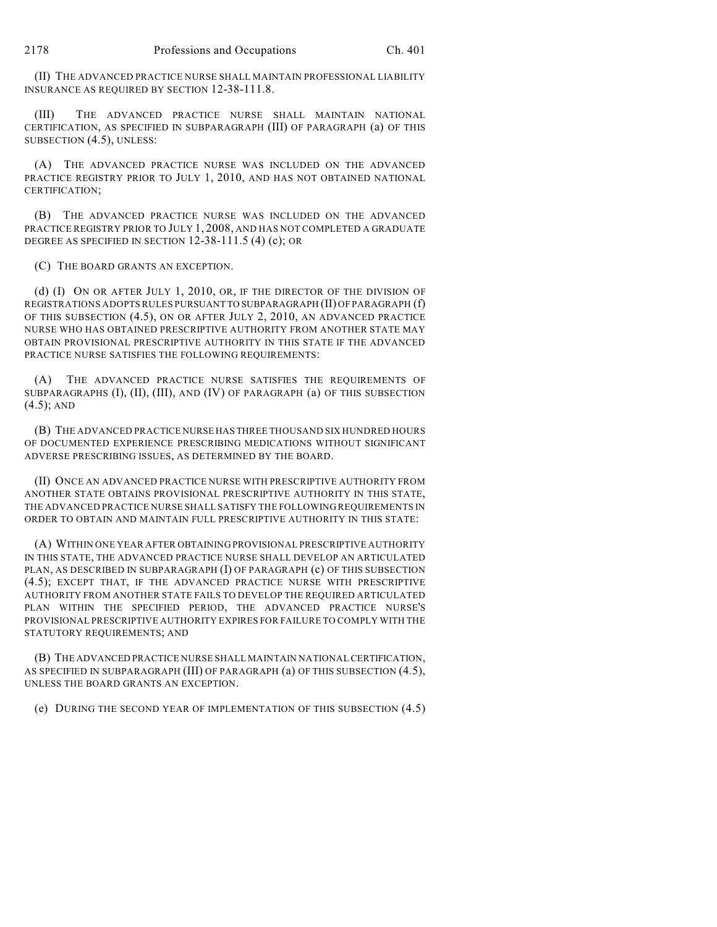(II) THE ADVANCED PRACTICE NURSE SHALL MAINTAIN PROFESSIONAL LIABILITY INSURANCE AS REQUIRED BY SECTION 12-38-111.8.

(III) THE ADVANCED PRACTICE NURSE SHALL MAINTAIN NATIONAL CERTIFICATION, AS SPECIFIED IN SUBPARAGRAPH (III) OF PARAGRAPH (a) OF THIS SUBSECTION (4.5), UNLESS:

(A) THE ADVANCED PRACTICE NURSE WAS INCLUDED ON THE ADVANCED PRACTICE REGISTRY PRIOR TO JULY 1, 2010, AND HAS NOT OBTAINED NATIONAL CERTIFICATION;

(B) THE ADVANCED PRACTICE NURSE WAS INCLUDED ON THE ADVANCED PRACTICE REGISTRY PRIOR TO JULY 1, 2008, AND HAS NOT COMPLETED A GRADUATE DEGREE AS SPECIFIED IN SECTION 12-38-111.5 (4) (c); OR

(C) THE BOARD GRANTS AN EXCEPTION.

(d) (I) ON OR AFTER JULY 1, 2010, OR, IF THE DIRECTOR OF THE DIVISION OF REGISTRATIONS ADOPTS RULES PURSUANT TO SUBPARAGRAPH (II) OF PARAGRAPH (f) OF THIS SUBSECTION (4.5), ON OR AFTER JULY 2, 2010, AN ADVANCED PRACTICE NURSE WHO HAS OBTAINED PRESCRIPTIVE AUTHORITY FROM ANOTHER STATE MAY OBTAIN PROVISIONAL PRESCRIPTIVE AUTHORITY IN THIS STATE IF THE ADVANCED PRACTICE NURSE SATISFIES THE FOLLOWING REQUIREMENTS:

(A) THE ADVANCED PRACTICE NURSE SATISFIES THE REQUIREMENTS OF SUBPARAGRAPHS (I), (II), (III), AND (IV) OF PARAGRAPH (a) OF THIS SUBSECTION (4.5); AND

(B) THE ADVANCED PRACTICE NURSE HAS THREE THOUSAND SIX HUNDRED HOURS OF DOCUMENTED EXPERIENCE PRESCRIBING MEDICATIONS WITHOUT SIGNIFICANT ADVERSE PRESCRIBING ISSUES, AS DETERMINED BY THE BOARD.

(II) ONCE AN ADVANCED PRACTICE NURSE WITH PRESCRIPTIVE AUTHORITY FROM ANOTHER STATE OBTAINS PROVISIONAL PRESCRIPTIVE AUTHORITY IN THIS STATE, THE ADVANCED PRACTICE NURSE SHALL SATISFY THE FOLLOWING REQUIREMENTS IN ORDER TO OBTAIN AND MAINTAIN FULL PRESCRIPTIVE AUTHORITY IN THIS STATE:

(A) WITHIN ONE YEAR AFTER OBTAINING PROVISIONAL PRESCRIPTIVE AUTHORITY IN THIS STATE, THE ADVANCED PRACTICE NURSE SHALL DEVELOP AN ARTICULATED PLAN, AS DESCRIBED IN SUBPARAGRAPH (I) OF PARAGRAPH (c) OF THIS SUBSECTION (4.5); EXCEPT THAT, IF THE ADVANCED PRACTICE NURSE WITH PRESCRIPTIVE AUTHORITY FROM ANOTHER STATE FAILS TO DEVELOP THE REQUIRED ARTICULATED PLAN WITHIN THE SPECIFIED PERIOD, THE ADVANCED PRACTICE NURSE'S PROVISIONAL PRESCRIPTIVE AUTHORITY EXPIRES FOR FAILURE TO COMPLY WITH THE STATUTORY REQUIREMENTS; AND

(B) THE ADVANCED PRACTICE NURSE SHALL MAINTAIN NATIONAL CERTIFICATION, AS SPECIFIED IN SUBPARAGRAPH (III) OF PARAGRAPH (a) OF THIS SUBSECTION (4.5), UNLESS THE BOARD GRANTS AN EXCEPTION.

(e) DURING THE SECOND YEAR OF IMPLEMENTATION OF THIS SUBSECTION (4.5)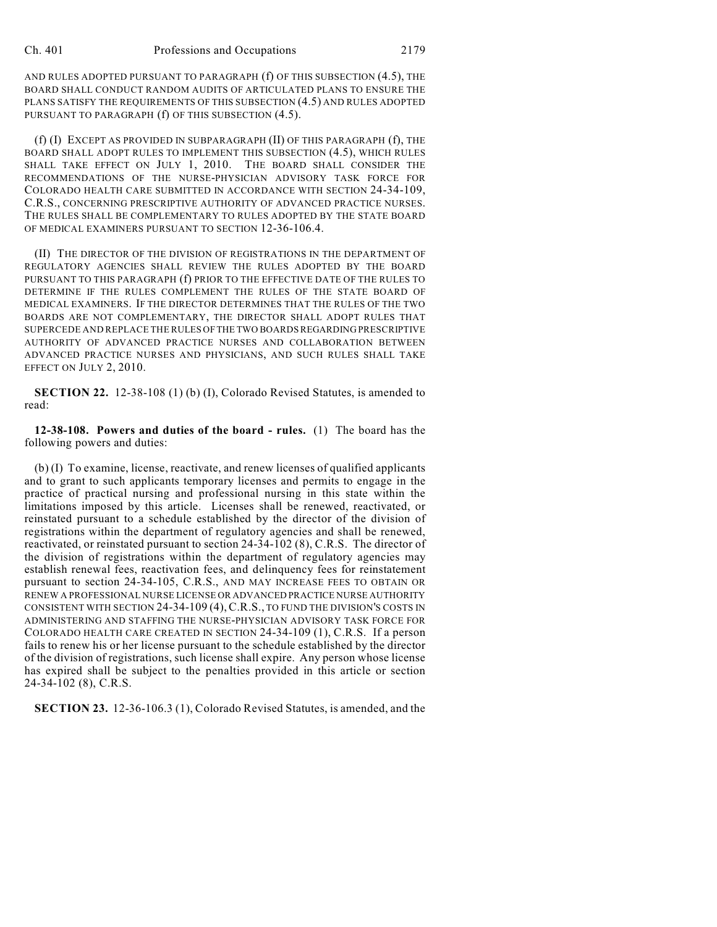AND RULES ADOPTED PURSUANT TO PARAGRAPH (f) OF THIS SUBSECTION (4.5), THE BOARD SHALL CONDUCT RANDOM AUDITS OF ARTICULATED PLANS TO ENSURE THE PLANS SATISFY THE REQUIREMENTS OF THIS SUBSECTION (4.5) AND RULES ADOPTED PURSUANT TO PARAGRAPH (f) OF THIS SUBSECTION (4.5).

(f) (I) EXCEPT AS PROVIDED IN SUBPARAGRAPH (II) OF THIS PARAGRAPH (f), THE BOARD SHALL ADOPT RULES TO IMPLEMENT THIS SUBSECTION (4.5), WHICH RULES SHALL TAKE EFFECT ON JULY 1, 2010. THE BOARD SHALL CONSIDER THE RECOMMENDATIONS OF THE NURSE-PHYSICIAN ADVISORY TASK FORCE FOR COLORADO HEALTH CARE SUBMITTED IN ACCORDANCE WITH SECTION 24-34-109, C.R.S., CONCERNING PRESCRIPTIVE AUTHORITY OF ADVANCED PRACTICE NURSES. THE RULES SHALL BE COMPLEMENTARY TO RULES ADOPTED BY THE STATE BOARD OF MEDICAL EXAMINERS PURSUANT TO SECTION 12-36-106.4.

(II) THE DIRECTOR OF THE DIVISION OF REGISTRATIONS IN THE DEPARTMENT OF REGULATORY AGENCIES SHALL REVIEW THE RULES ADOPTED BY THE BOARD PURSUANT TO THIS PARAGRAPH (f) PRIOR TO THE EFFECTIVE DATE OF THE RULES TO DETERMINE IF THE RULES COMPLEMENT THE RULES OF THE STATE BOARD OF MEDICAL EXAMINERS. IF THE DIRECTOR DETERMINES THAT THE RULES OF THE TWO BOARDS ARE NOT COMPLEMENTARY, THE DIRECTOR SHALL ADOPT RULES THAT SUPERCEDE AND REPLACE THE RULES OF THE TWO BOARDS REGARDING PRESCRIPTIVE AUTHORITY OF ADVANCED PRACTICE NURSES AND COLLABORATION BETWEEN ADVANCED PRACTICE NURSES AND PHYSICIANS, AND SUCH RULES SHALL TAKE EFFECT ON JULY 2, 2010.

**SECTION 22.** 12-38-108 (1) (b) (I), Colorado Revised Statutes, is amended to read:

**12-38-108. Powers and duties of the board - rules.** (1) The board has the following powers and duties:

(b) (I) To examine, license, reactivate, and renew licenses of qualified applicants and to grant to such applicants temporary licenses and permits to engage in the practice of practical nursing and professional nursing in this state within the limitations imposed by this article. Licenses shall be renewed, reactivated, or reinstated pursuant to a schedule established by the director of the division of registrations within the department of regulatory agencies and shall be renewed, reactivated, or reinstated pursuant to section 24-34-102 (8), C.R.S. The director of the division of registrations within the department of regulatory agencies may establish renewal fees, reactivation fees, and delinquency fees for reinstatement pursuant to section 24-34-105, C.R.S., AND MAY INCREASE FEES TO OBTAIN OR RENEW A PROFESSIONAL NURSE LICENSE OR ADVANCED PRACTICE NURSE AUTHORITY CONSISTENT WITH SECTION 24-34-109 (4),C.R.S., TO FUND THE DIVISION'S COSTS IN ADMINISTERING AND STAFFING THE NURSE-PHYSICIAN ADVISORY TASK FORCE FOR COLORADO HEALTH CARE CREATED IN SECTION 24-34-109 (1), C.R.S. If a person fails to renew his or her license pursuant to the schedule established by the director of the division of registrations, such license shall expire. Any person whose license has expired shall be subject to the penalties provided in this article or section 24-34-102 (8), C.R.S.

**SECTION 23.** 12-36-106.3 (1), Colorado Revised Statutes, is amended, and the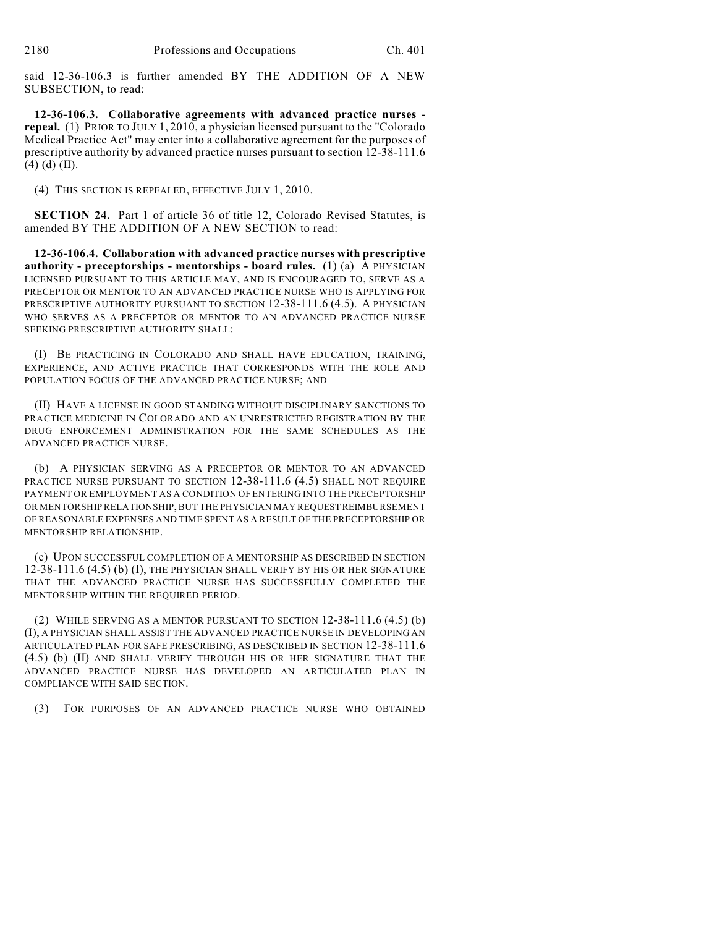said 12-36-106.3 is further amended BY THE ADDITION OF A NEW SUBSECTION, to read:

**12-36-106.3. Collaborative agreements with advanced practice nurses repeal.** (1) PRIOR TO JULY 1, 2010, a physician licensed pursuant to the "Colorado Medical Practice Act" may enter into a collaborative agreement for the purposes of prescriptive authority by advanced practice nurses pursuant to section 12-38-111.6  $(4)$  (d) (II).

(4) THIS SECTION IS REPEALED, EFFECTIVE JULY 1, 2010.

**SECTION 24.** Part 1 of article 36 of title 12, Colorado Revised Statutes, is amended BY THE ADDITION OF A NEW SECTION to read:

**12-36-106.4. Collaboration with advanced practice nurses with prescriptive authority - preceptorships - mentorships - board rules.** (1) (a) A PHYSICIAN LICENSED PURSUANT TO THIS ARTICLE MAY, AND IS ENCOURAGED TO, SERVE AS A PRECEPTOR OR MENTOR TO AN ADVANCED PRACTICE NURSE WHO IS APPLYING FOR PRESCRIPTIVE AUTHORITY PURSUANT TO SECTION 12-38-111.6 (4.5). A PHYSICIAN WHO SERVES AS A PRECEPTOR OR MENTOR TO AN ADVANCED PRACTICE NURSE SEEKING PRESCRIPTIVE AUTHORITY SHALL:

(I) BE PRACTICING IN COLORADO AND SHALL HAVE EDUCATION, TRAINING, EXPERIENCE, AND ACTIVE PRACTICE THAT CORRESPONDS WITH THE ROLE AND POPULATION FOCUS OF THE ADVANCED PRACTICE NURSE; AND

(II) HAVE A LICENSE IN GOOD STANDING WITHOUT DISCIPLINARY SANCTIONS TO PRACTICE MEDICINE IN COLORADO AND AN UNRESTRICTED REGISTRATION BY THE DRUG ENFORCEMENT ADMINISTRATION FOR THE SAME SCHEDULES AS THE ADVANCED PRACTICE NURSE.

(b) A PHYSICIAN SERVING AS A PRECEPTOR OR MENTOR TO AN ADVANCED PRACTICE NURSE PURSUANT TO SECTION 12-38-111.6 (4.5) SHALL NOT REQUIRE PAYMENT OR EMPLOYMENT AS A CONDITION OF ENTERING INTO THE PRECEPTORSHIP OR MENTORSHIP RELATIONSHIP, BUT THE PHYSICIAN MAY REQUEST REIMBURSEMENT OF REASONABLE EXPENSES AND TIME SPENT AS A RESULT OF THE PRECEPTORSHIP OR MENTORSHIP RELATIONSHIP.

(c) UPON SUCCESSFUL COMPLETION OF A MENTORSHIP AS DESCRIBED IN SECTION 12-38-111.6 (4.5) (b) (I), THE PHYSICIAN SHALL VERIFY BY HIS OR HER SIGNATURE THAT THE ADVANCED PRACTICE NURSE HAS SUCCESSFULLY COMPLETED THE MENTORSHIP WITHIN THE REQUIRED PERIOD.

(2) WHILE SERVING AS A MENTOR PURSUANT TO SECTION  $12-38-111.6$  (4.5) (b) (I), A PHYSICIAN SHALL ASSIST THE ADVANCED PRACTICE NURSE IN DEVELOPING AN ARTICULATED PLAN FOR SAFE PRESCRIBING, AS DESCRIBED IN SECTION 12-38-111.6 (4.5) (b) (II) AND SHALL VERIFY THROUGH HIS OR HER SIGNATURE THAT THE ADVANCED PRACTICE NURSE HAS DEVELOPED AN ARTICULATED PLAN IN COMPLIANCE WITH SAID SECTION.

(3) FOR PURPOSES OF AN ADVANCED PRACTICE NURSE WHO OBTAINED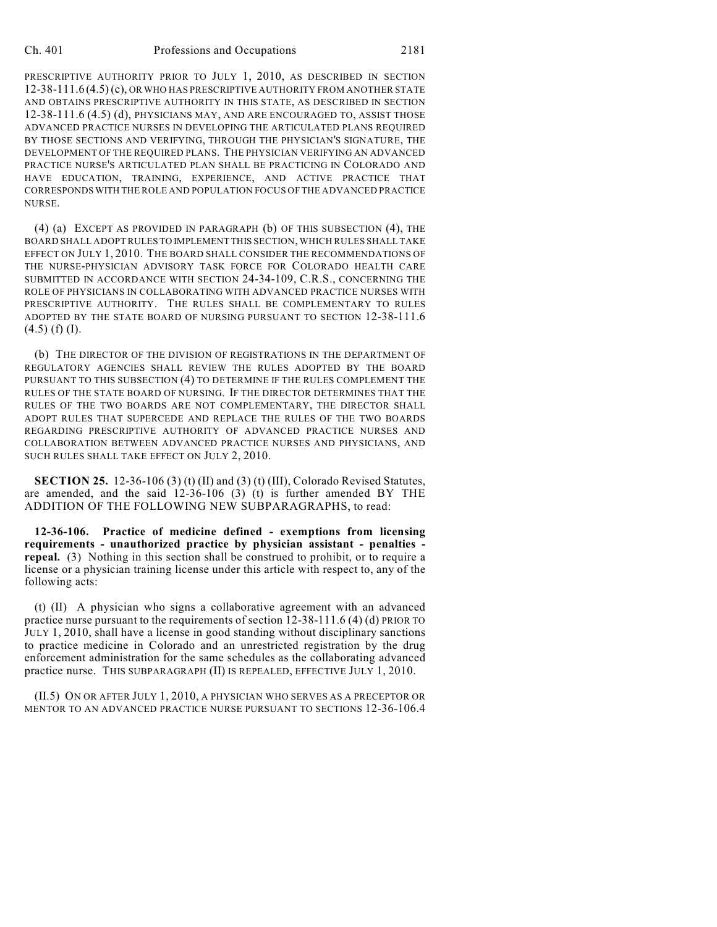PRESCRIPTIVE AUTHORITY PRIOR TO JULY 1, 2010, AS DESCRIBED IN SECTION 12-38-111.6 (4.5) (c), OR WHO HAS PRESCRIPTIVE AUTHORITY FROM ANOTHER STATE AND OBTAINS PRESCRIPTIVE AUTHORITY IN THIS STATE, AS DESCRIBED IN SECTION 12-38-111.6 (4.5) (d), PHYSICIANS MAY, AND ARE ENCOURAGED TO, ASSIST THOSE ADVANCED PRACTICE NURSES IN DEVELOPING THE ARTICULATED PLANS REQUIRED BY THOSE SECTIONS AND VERIFYING, THROUGH THE PHYSICIAN'S SIGNATURE, THE DEVELOPMENT OF THE REQUIRED PLANS. THE PHYSICIAN VERIFYING AN ADVANCED PRACTICE NURSE'S ARTICULATED PLAN SHALL BE PRACTICING IN COLORADO AND HAVE EDUCATION, TRAINING, EXPERIENCE, AND ACTIVE PRACTICE THAT CORRESPONDS WITH THE ROLE AND POPULATION FOCUS OF THE ADVANCED PRACTICE NURSE.

(4) (a) EXCEPT AS PROVIDED IN PARAGRAPH (b) OF THIS SUBSECTION (4), THE BOARD SHALL ADOPT RULES TO IMPLEMENT THIS SECTION, WHICH RULES SHALL TAKE EFFECT ON JULY 1, 2010. THE BOARD SHALL CONSIDER THE RECOMMENDATIONS OF THE NURSE-PHYSICIAN ADVISORY TASK FORCE FOR COLORADO HEALTH CARE SUBMITTED IN ACCORDANCE WITH SECTION 24-34-109, C.R.S., CONCERNING THE ROLE OF PHYSICIANS IN COLLABORATING WITH ADVANCED PRACTICE NURSES WITH PRESCRIPTIVE AUTHORITY. THE RULES SHALL BE COMPLEMENTARY TO RULES ADOPTED BY THE STATE BOARD OF NURSING PURSUANT TO SECTION 12-38-111.6  $(4.5)$  (f) (I).

(b) THE DIRECTOR OF THE DIVISION OF REGISTRATIONS IN THE DEPARTMENT OF REGULATORY AGENCIES SHALL REVIEW THE RULES ADOPTED BY THE BOARD PURSUANT TO THIS SUBSECTION (4) TO DETERMINE IF THE RULES COMPLEMENT THE RULES OF THE STATE BOARD OF NURSING. IF THE DIRECTOR DETERMINES THAT THE RULES OF THE TWO BOARDS ARE NOT COMPLEMENTARY, THE DIRECTOR SHALL ADOPT RULES THAT SUPERCEDE AND REPLACE THE RULES OF THE TWO BOARDS REGARDING PRESCRIPTIVE AUTHORITY OF ADVANCED PRACTICE NURSES AND COLLABORATION BETWEEN ADVANCED PRACTICE NURSES AND PHYSICIANS, AND SUCH RULES SHALL TAKE EFFECT ON JULY 2, 2010.

**SECTION 25.** 12-36-106 (3) (t) (II) and (3) (t) (III), Colorado Revised Statutes, are amended, and the said 12-36-106 (3) (t) is further amended BY THE ADDITION OF THE FOLLOWING NEW SUBPARAGRAPHS, to read:

**12-36-106. Practice of medicine defined - exemptions from licensing requirements - unauthorized practice by physician assistant - penalties repeal.** (3) Nothing in this section shall be construed to prohibit, or to require a license or a physician training license under this article with respect to, any of the following acts:

(t) (II) A physician who signs a collaborative agreement with an advanced practice nurse pursuant to the requirements of section 12-38-111.6 (4) (d) PRIOR TO JULY 1, 2010, shall have a license in good standing without disciplinary sanctions to practice medicine in Colorado and an unrestricted registration by the drug enforcement administration for the same schedules as the collaborating advanced practice nurse. THIS SUBPARAGRAPH (II) IS REPEALED, EFFECTIVE JULY 1, 2010.

(II.5) ON OR AFTER JULY 1, 2010, A PHYSICIAN WHO SERVES AS A PRECEPTOR OR MENTOR TO AN ADVANCED PRACTICE NURSE PURSUANT TO SECTIONS 12-36-106.4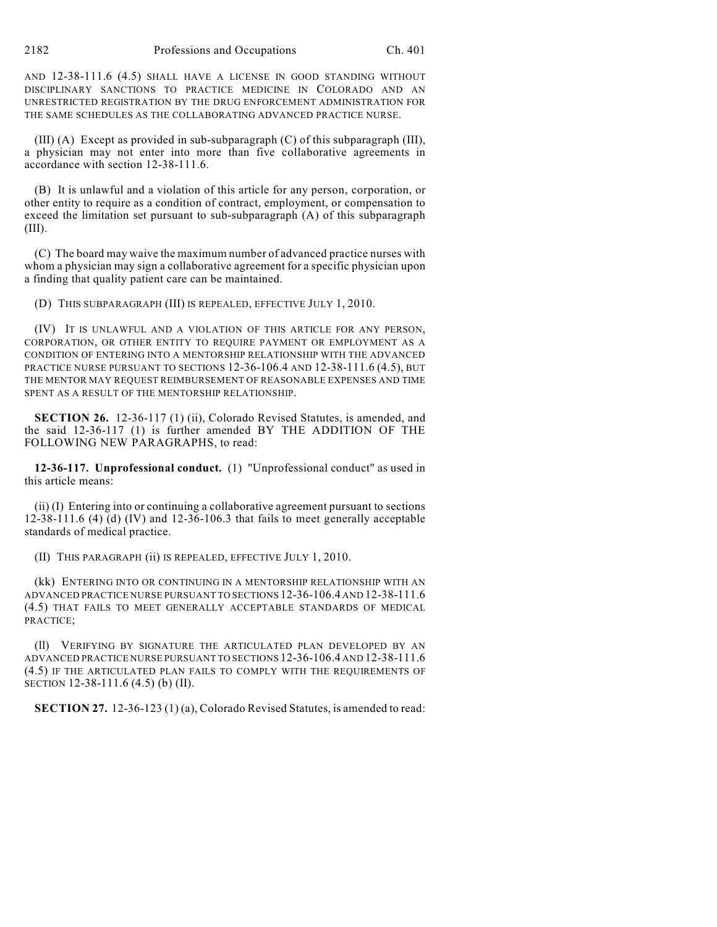AND 12-38-111.6 (4.5) SHALL HAVE A LICENSE IN GOOD STANDING WITHOUT DISCIPLINARY SANCTIONS TO PRACTICE MEDICINE IN COLORADO AND AN UNRESTRICTED REGISTRATION BY THE DRUG ENFORCEMENT ADMINISTRATION FOR THE SAME SCHEDULES AS THE COLLABORATING ADVANCED PRACTICE NURSE.

(III) (A) Except as provided in sub-subparagraph (C) of this subparagraph (III), a physician may not enter into more than five collaborative agreements in accordance with section 12-38-111.6.

(B) It is unlawful and a violation of this article for any person, corporation, or other entity to require as a condition of contract, employment, or compensation to exceed the limitation set pursuant to sub-subparagraph (A) of this subparagraph (III).

(C) The board may waive the maximum number of advanced practice nurses with whom a physician may sign a collaborative agreement for a specific physician upon a finding that quality patient care can be maintained.

(D) THIS SUBPARAGRAPH (III) IS REPEALED, EFFECTIVE JULY 1, 2010.

(IV) IT IS UNLAWFUL AND A VIOLATION OF THIS ARTICLE FOR ANY PERSON, CORPORATION, OR OTHER ENTITY TO REQUIRE PAYMENT OR EMPLOYMENT AS A CONDITION OF ENTERING INTO A MENTORSHIP RELATIONSHIP WITH THE ADVANCED PRACTICE NURSE PURSUANT TO SECTIONS 12-36-106.4 AND 12-38-111.6 (4.5), BUT THE MENTOR MAY REQUEST REIMBURSEMENT OF REASONABLE EXPENSES AND TIME SPENT AS A RESULT OF THE MENTORSHIP RELATIONSHIP.

**SECTION 26.** 12-36-117 (1) (ii), Colorado Revised Statutes, is amended, and the said 12-36-117 (1) is further amended BY THE ADDITION OF THE FOLLOWING NEW PARAGRAPHS, to read:

**12-36-117. Unprofessional conduct.** (1) "Unprofessional conduct" as used in this article means:

(ii) (I) Entering into or continuing a collaborative agreement pursuant to sections 12-38-111.6 (4) (d) (IV) and 12-36-106.3 that fails to meet generally acceptable standards of medical practice.

(II) THIS PARAGRAPH (ii) IS REPEALED, EFFECTIVE JULY 1, 2010.

(kk) ENTERING INTO OR CONTINUING IN A MENTORSHIP RELATIONSHIP WITH AN ADVANCED PRACTICE NURSE PURSUANT TO SECTIONS 12-36-106.4 AND 12-38-111.6 (4.5) THAT FAILS TO MEET GENERALLY ACCEPTABLE STANDARDS OF MEDICAL PRACTICE;

(ll) VERIFYING BY SIGNATURE THE ARTICULATED PLAN DEVELOPED BY AN ADVANCED PRACTICE NURSE PURSUANT TO SECTIONS 12-36-106.4 AND 12-38-111.6 (4.5) IF THE ARTICULATED PLAN FAILS TO COMPLY WITH THE REQUIREMENTS OF SECTION 12-38-111.6 (4.5) (b) (II).

**SECTION 27.** 12-36-123 (1) (a), Colorado Revised Statutes, is amended to read: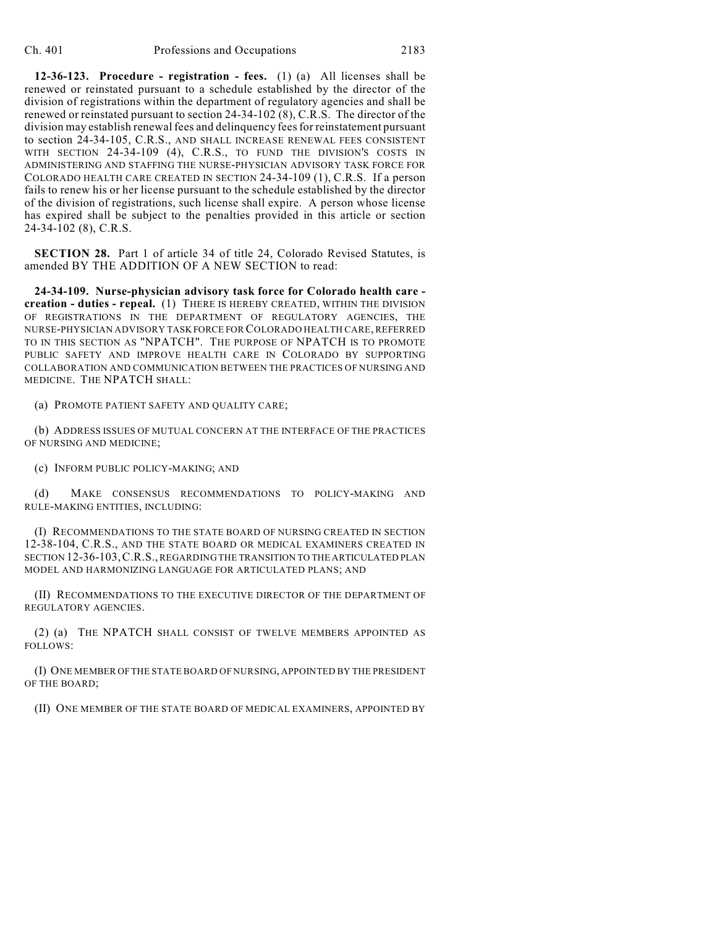**12-36-123. Procedure - registration - fees.** (1) (a) All licenses shall be renewed or reinstated pursuant to a schedule established by the director of the division of registrations within the department of regulatory agencies and shall be renewed or reinstated pursuant to section 24-34-102 (8), C.R.S. The director of the division may establish renewal fees and delinquency fees for reinstatement pursuant to section 24-34-105, C.R.S., AND SHALL INCREASE RENEWAL FEES CONSISTENT WITH SECTION 24-34-109 (4), C.R.S., TO FUND THE DIVISION'S COSTS IN ADMINISTERING AND STAFFING THE NURSE-PHYSICIAN ADVISORY TASK FORCE FOR COLORADO HEALTH CARE CREATED IN SECTION 24-34-109 (1), C.R.S. If a person fails to renew his or her license pursuant to the schedule established by the director of the division of registrations, such license shall expire. A person whose license has expired shall be subject to the penalties provided in this article or section 24-34-102 (8), C.R.S.

**SECTION 28.** Part 1 of article 34 of title 24, Colorado Revised Statutes, is amended BY THE ADDITION OF A NEW SECTION to read:

**24-34-109. Nurse-physician advisory task force for Colorado health care creation - duties - repeal.** (1) THERE IS HEREBY CREATED, WITHIN THE DIVISION OF REGISTRATIONS IN THE DEPARTMENT OF REGULATORY AGENCIES, THE NURSE-PHYSICIAN ADVISORY TASK FORCE FOR COLORADO HEALTH CARE, REFERRED TO IN THIS SECTION AS "NPATCH". THE PURPOSE OF NPATCH IS TO PROMOTE PUBLIC SAFETY AND IMPROVE HEALTH CARE IN COLORADO BY SUPPORTING COLLABORATION AND COMMUNICATION BETWEEN THE PRACTICES OF NURSING AND MEDICINE. THE NPATCH SHALL:

(a) PROMOTE PATIENT SAFETY AND QUALITY CARE;

(b) ADDRESS ISSUES OF MUTUAL CONCERN AT THE INTERFACE OF THE PRACTICES OF NURSING AND MEDICINE;

(c) INFORM PUBLIC POLICY-MAKING; AND

(d) MAKE CONSENSUS RECOMMENDATIONS TO POLICY-MAKING AND RULE-MAKING ENTITIES, INCLUDING:

(I) RECOMMENDATIONS TO THE STATE BOARD OF NURSING CREATED IN SECTION 12-38-104, C.R.S., AND THE STATE BOARD OR MEDICAL EXAMINERS CREATED IN SECTION 12-36-103,C.R.S., REGARDING THE TRANSITION TO THE ARTICULATED PLAN MODEL AND HARMONIZING LANGUAGE FOR ARTICULATED PLANS; AND

(II) RECOMMENDATIONS TO THE EXECUTIVE DIRECTOR OF THE DEPARTMENT OF REGULATORY AGENCIES.

(2) (a) THE NPATCH SHALL CONSIST OF TWELVE MEMBERS APPOINTED AS FOLLOWS:

(I) ONE MEMBER OF THE STATE BOARD OF NURSING, APPOINTED BY THE PRESIDENT OF THE BOARD;

(II) ONE MEMBER OF THE STATE BOARD OF MEDICAL EXAMINERS, APPOINTED BY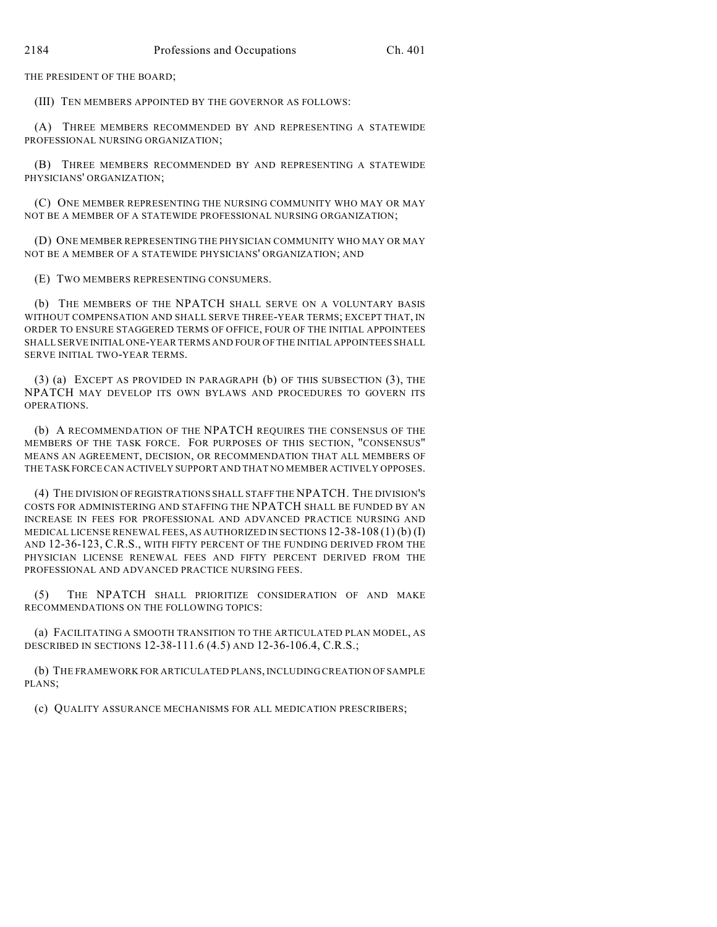THE PRESIDENT OF THE BOARD;

(III) TEN MEMBERS APPOINTED BY THE GOVERNOR AS FOLLOWS:

(A) THREE MEMBERS RECOMMENDED BY AND REPRESENTING A STATEWIDE PROFESSIONAL NURSING ORGANIZATION;

(B) THREE MEMBERS RECOMMENDED BY AND REPRESENTING A STATEWIDE PHYSICIANS' ORGANIZATION;

(C) ONE MEMBER REPRESENTING THE NURSING COMMUNITY WHO MAY OR MAY NOT BE A MEMBER OF A STATEWIDE PROFESSIONAL NURSING ORGANIZATION;

(D) ONE MEMBER REPRESENTING THE PHYSICIAN COMMUNITY WHO MAY OR MAY NOT BE A MEMBER OF A STATEWIDE PHYSICIANS' ORGANIZATION; AND

(E) TWO MEMBERS REPRESENTING CONSUMERS.

(b) THE MEMBERS OF THE NPATCH SHALL SERVE ON A VOLUNTARY BASIS WITHOUT COMPENSATION AND SHALL SERVE THREE-YEAR TERMS; EXCEPT THAT, IN ORDER TO ENSURE STAGGERED TERMS OF OFFICE, FOUR OF THE INITIAL APPOINTEES SHALL SERVE INITIAL ONE-YEAR TERMS AND FOUR OF THE INITIAL APPOINTEES SHALL SERVE INITIAL TWO-YEAR TERMS.

(3) (a) EXCEPT AS PROVIDED IN PARAGRAPH (b) OF THIS SUBSECTION (3), THE NPATCH MAY DEVELOP ITS OWN BYLAWS AND PROCEDURES TO GOVERN ITS OPERATIONS.

(b) A RECOMMENDATION OF THE NPATCH REQUIRES THE CONSENSUS OF THE MEMBERS OF THE TASK FORCE. FOR PURPOSES OF THIS SECTION, "CONSENSUS" MEANS AN AGREEMENT, DECISION, OR RECOMMENDATION THAT ALL MEMBERS OF THE TASK FORCE CAN ACTIVELY SUPPORT AND THAT NO MEMBER ACTIVELY OPPOSES.

(4) THE DIVISION OF REGISTRATIONS SHALL STAFF THE NPATCH. THE DIVISION'S COSTS FOR ADMINISTERING AND STAFFING THE NPATCH SHALL BE FUNDED BY AN INCREASE IN FEES FOR PROFESSIONAL AND ADVANCED PRACTICE NURSING AND MEDICAL LICENSE RENEWAL FEES, AS AUTHORIZED IN SECTIONS  $12-38-108(1)$  (b) (I) AND 12-36-123, C.R.S., WITH FIFTY PERCENT OF THE FUNDING DERIVED FROM THE PHYSICIAN LICENSE RENEWAL FEES AND FIFTY PERCENT DERIVED FROM THE PROFESSIONAL AND ADVANCED PRACTICE NURSING FEES.

(5) THE NPATCH SHALL PRIORITIZE CONSIDERATION OF AND MAKE RECOMMENDATIONS ON THE FOLLOWING TOPICS:

(a) FACILITATING A SMOOTH TRANSITION TO THE ARTICULATED PLAN MODEL, AS DESCRIBED IN SECTIONS 12-38-111.6 (4.5) AND 12-36-106.4, C.R.S.;

(b) THE FRAMEWORK FOR ARTICULATED PLANS, INCLUDING CREATION OF SAMPLE PLANS;

(c) QUALITY ASSURANCE MECHANISMS FOR ALL MEDICATION PRESCRIBERS;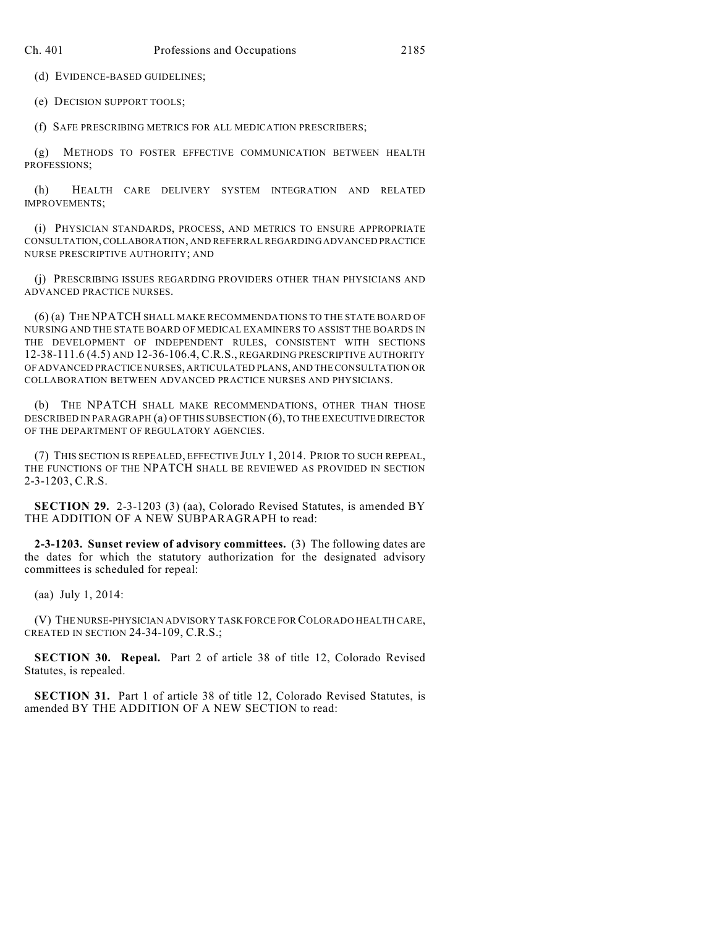(d) EVIDENCE-BASED GUIDELINES;

(e) DECISION SUPPORT TOOLS;

(f) SAFE PRESCRIBING METRICS FOR ALL MEDICATION PRESCRIBERS;

(g) METHODS TO FOSTER EFFECTIVE COMMUNICATION BETWEEN HEALTH PROFESSIONS;

(h) HEALTH CARE DELIVERY SYSTEM INTEGRATION AND RELATED IMPROVEMENTS;

(i) PHYSICIAN STANDARDS, PROCESS, AND METRICS TO ENSURE APPROPRIATE CONSULTATION, COLLABORATION, AND REFERRAL REGARDING ADVANCED PRACTICE NURSE PRESCRIPTIVE AUTHORITY; AND

(j) PRESCRIBING ISSUES REGARDING PROVIDERS OTHER THAN PHYSICIANS AND ADVANCED PRACTICE NURSES.

(6) (a) THE NPATCH SHALL MAKE RECOMMENDATIONS TO THE STATE BOARD OF NURSING AND THE STATE BOARD OF MEDICAL EXAMINERS TO ASSIST THE BOARDS IN THE DEVELOPMENT OF INDEPENDENT RULES, CONSISTENT WITH SECTIONS 12-38-111.6 (4.5) AND 12-36-106.4, C.R.S., REGARDING PRESCRIPTIVE AUTHORITY OF ADVANCED PRACTICE NURSES, ARTICULATED PLANS, AND THE CONSULTATION OR COLLABORATION BETWEEN ADVANCED PRACTICE NURSES AND PHYSICIANS.

(b) THE NPATCH SHALL MAKE RECOMMENDATIONS, OTHER THAN THOSE DESCRIBED IN PARAGRAPH (a) OF THIS SUBSECTION (6), TO THE EXECUTIVE DIRECTOR OF THE DEPARTMENT OF REGULATORY AGENCIES.

(7) THIS SECTION IS REPEALED, EFFECTIVE JULY 1, 2014. PRIOR TO SUCH REPEAL, THE FUNCTIONS OF THE NPATCH SHALL BE REVIEWED AS PROVIDED IN SECTION 2-3-1203, C.R.S.

**SECTION 29.** 2-3-1203 (3) (aa), Colorado Revised Statutes, is amended BY THE ADDITION OF A NEW SUBPARAGRAPH to read:

**2-3-1203. Sunset review of advisory committees.** (3) The following dates are the dates for which the statutory authorization for the designated advisory committees is scheduled for repeal:

(aa) July 1, 2014:

(V) THE NURSE-PHYSICIAN ADVISORY TASK FORCE FOR COLORADO HEALTH CARE, CREATED IN SECTION 24-34-109, C.R.S.;

**SECTION 30. Repeal.** Part 2 of article 38 of title 12, Colorado Revised Statutes, is repealed.

**SECTION 31.** Part 1 of article 38 of title 12, Colorado Revised Statutes, is amended BY THE ADDITION OF A NEW SECTION to read: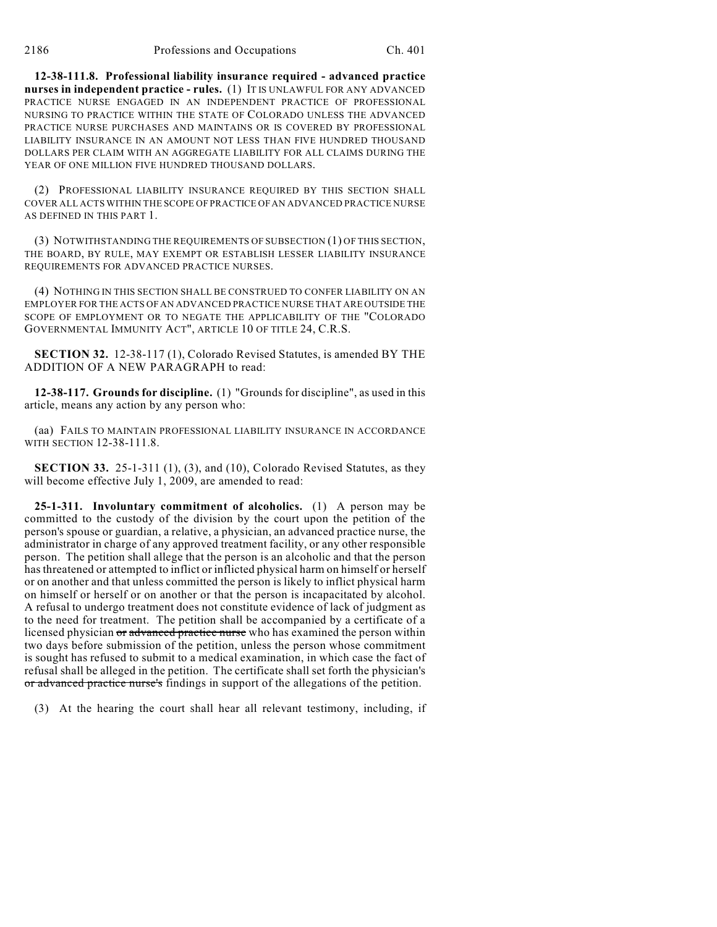**12-38-111.8. Professional liability insurance required - advanced practice nurses in independent practice - rules.** (1) IT IS UNLAWFUL FOR ANY ADVANCED PRACTICE NURSE ENGAGED IN AN INDEPENDENT PRACTICE OF PROFESSIONAL NURSING TO PRACTICE WITHIN THE STATE OF COLORADO UNLESS THE ADVANCED PRACTICE NURSE PURCHASES AND MAINTAINS OR IS COVERED BY PROFESSIONAL LIABILITY INSURANCE IN AN AMOUNT NOT LESS THAN FIVE HUNDRED THOUSAND DOLLARS PER CLAIM WITH AN AGGREGATE LIABILITY FOR ALL CLAIMS DURING THE YEAR OF ONE MILLION FIVE HUNDRED THOUSAND DOLLARS.

(2) PROFESSIONAL LIABILITY INSURANCE REQUIRED BY THIS SECTION SHALL COVER ALL ACTS WITHIN THE SCOPE OF PRACTICE OF AN ADVANCED PRACTICE NURSE AS DEFINED IN THIS PART 1.

(3) NOTWITHSTANDING THE REQUIREMENTS OF SUBSECTION (1) OF THIS SECTION, THE BOARD, BY RULE, MAY EXEMPT OR ESTABLISH LESSER LIABILITY INSURANCE REQUIREMENTS FOR ADVANCED PRACTICE NURSES.

(4) NOTHING IN THIS SECTION SHALL BE CONSTRUED TO CONFER LIABILITY ON AN EMPLOYER FOR THE ACTS OF AN ADVANCED PRACTICE NURSE THAT ARE OUTSIDE THE SCOPE OF EMPLOYMENT OR TO NEGATE THE APPLICABILITY OF THE "COLORADO GOVERNMENTAL IMMUNITY ACT", ARTICLE 10 OF TITLE 24, C.R.S.

**SECTION 32.** 12-38-117 (1), Colorado Revised Statutes, is amended BY THE ADDITION OF A NEW PARAGRAPH to read:

**12-38-117. Grounds for discipline.** (1) "Grounds for discipline", as used in this article, means any action by any person who:

(aa) FAILS TO MAINTAIN PROFESSIONAL LIABILITY INSURANCE IN ACCORDANCE WITH SECTION 12-38-111.8.

**SECTION 33.** 25-1-311 (1), (3), and (10), Colorado Revised Statutes, as they will become effective July 1, 2009, are amended to read:

**25-1-311. Involuntary commitment of alcoholics.** (1) A person may be committed to the custody of the division by the court upon the petition of the person's spouse or guardian, a relative, a physician, an advanced practice nurse, the administrator in charge of any approved treatment facility, or any other responsible person. The petition shall allege that the person is an alcoholic and that the person has threatened or attempted to inflict or inflicted physical harm on himself or herself or on another and that unless committed the person is likely to inflict physical harm on himself or herself or on another or that the person is incapacitated by alcohol. A refusal to undergo treatment does not constitute evidence of lack of judgment as to the need for treatment. The petition shall be accompanied by a certificate of a licensed physician or advanced practice nurse who has examined the person within two days before submission of the petition, unless the person whose commitment is sought has refused to submit to a medical examination, in which case the fact of refusal shall be alleged in the petition. The certificate shall set forth the physician's or advanced practice nurse's findings in support of the allegations of the petition.

(3) At the hearing the court shall hear all relevant testimony, including, if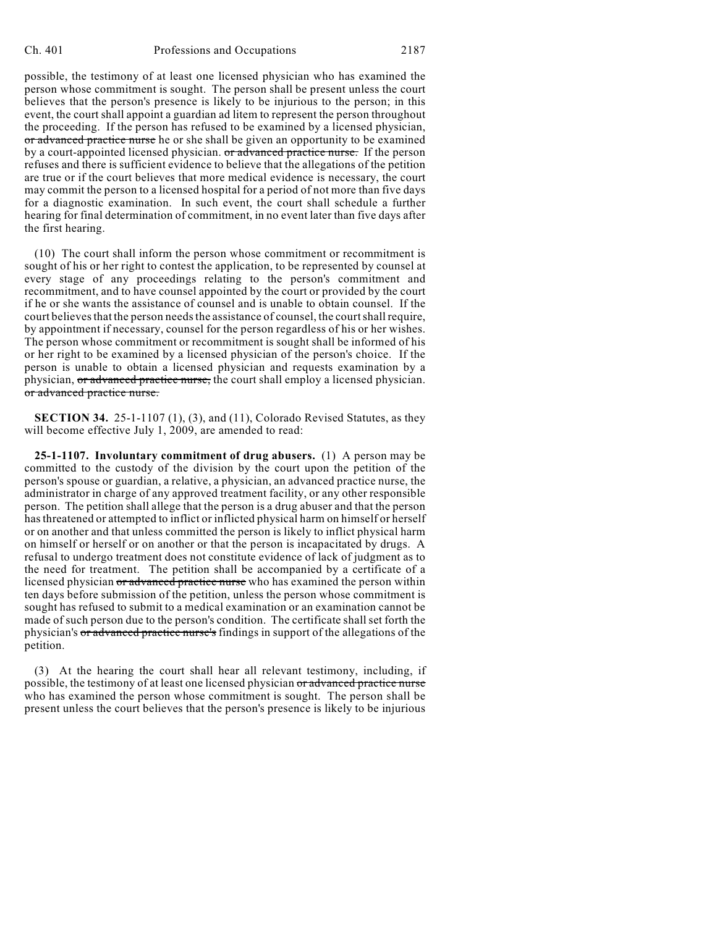possible, the testimony of at least one licensed physician who has examined the person whose commitment is sought. The person shall be present unless the court believes that the person's presence is likely to be injurious to the person; in this event, the court shall appoint a guardian ad litem to represent the person throughout the proceeding. If the person has refused to be examined by a licensed physician, or advanced practice nurse he or she shall be given an opportunity to be examined by a court-appointed licensed physician. or advanced practice nurse. If the person refuses and there is sufficient evidence to believe that the allegations of the petition are true or if the court believes that more medical evidence is necessary, the court may commit the person to a licensed hospital for a period of not more than five days for a diagnostic examination. In such event, the court shall schedule a further hearing for final determination of commitment, in no event later than five days after the first hearing.

(10) The court shall inform the person whose commitment or recommitment is sought of his or her right to contest the application, to be represented by counsel at every stage of any proceedings relating to the person's commitment and recommitment, and to have counsel appointed by the court or provided by the court if he or she wants the assistance of counsel and is unable to obtain counsel. If the court believes that the person needs the assistance of counsel, the court shall require, by appointment if necessary, counsel for the person regardless of his or her wishes. The person whose commitment or recommitment is sought shall be informed of his or her right to be examined by a licensed physician of the person's choice. If the person is unable to obtain a licensed physician and requests examination by a physician, or advanced practice nurse, the court shall employ a licensed physician. or advanced practice nurse.

**SECTION 34.** 25-1-1107 (1), (3), and (11), Colorado Revised Statutes, as they will become effective July 1, 2009, are amended to read:

**25-1-1107. Involuntary commitment of drug abusers.** (1) A person may be committed to the custody of the division by the court upon the petition of the person's spouse or guardian, a relative, a physician, an advanced practice nurse, the administrator in charge of any approved treatment facility, or any other responsible person. The petition shall allege that the person is a drug abuser and that the person has threatened or attempted to inflict or inflicted physical harm on himself or herself or on another and that unless committed the person is likely to inflict physical harm on himself or herself or on another or that the person is incapacitated by drugs. A refusal to undergo treatment does not constitute evidence of lack of judgment as to the need for treatment. The petition shall be accompanied by a certificate of a licensed physician or advanced practice nurse who has examined the person within ten days before submission of the petition, unless the person whose commitment is sought has refused to submit to a medical examination or an examination cannot be made of such person due to the person's condition. The certificate shall set forth the physician's or advanced practice nurse's findings in support of the allegations of the petition.

(3) At the hearing the court shall hear all relevant testimony, including, if possible, the testimony of at least one licensed physician or advanced practice nurse who has examined the person whose commitment is sought. The person shall be present unless the court believes that the person's presence is likely to be injurious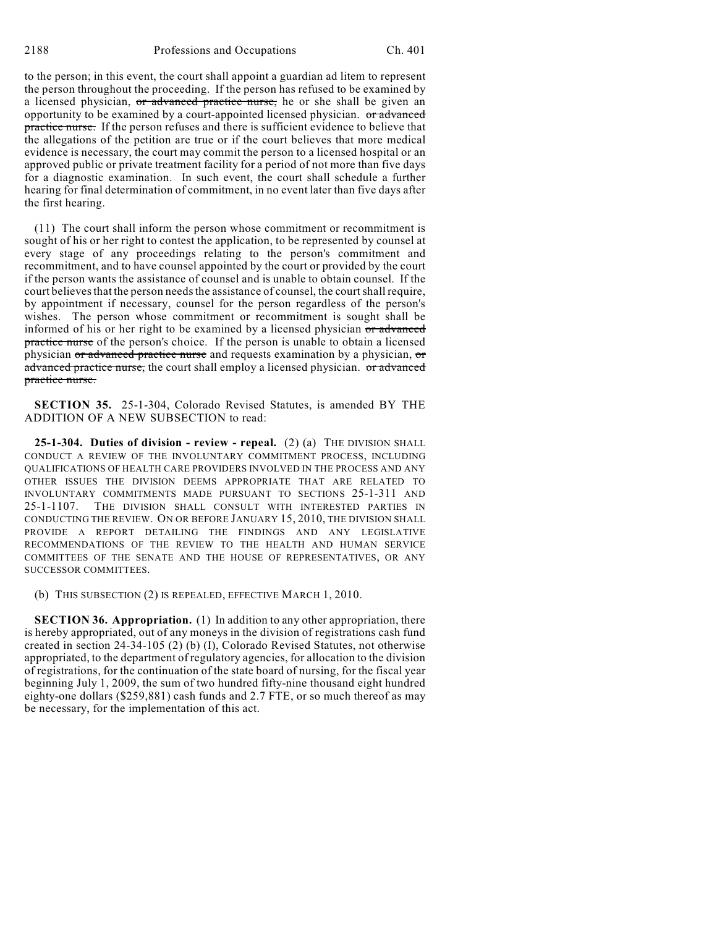to the person; in this event, the court shall appoint a guardian ad litem to represent the person throughout the proceeding. If the person has refused to be examined by a licensed physician, or advanced practice nurse, he or she shall be given an opportunity to be examined by a court-appointed licensed physician. or advanced practice nurse. If the person refuses and there is sufficient evidence to believe that the allegations of the petition are true or if the court believes that more medical evidence is necessary, the court may commit the person to a licensed hospital or an approved public or private treatment facility for a period of not more than five days for a diagnostic examination. In such event, the court shall schedule a further hearing for final determination of commitment, in no event later than five days after the first hearing.

(11) The court shall inform the person whose commitment or recommitment is sought of his or her right to contest the application, to be represented by counsel at every stage of any proceedings relating to the person's commitment and recommitment, and to have counsel appointed by the court or provided by the court if the person wants the assistance of counsel and is unable to obtain counsel. If the court believes that the person needs the assistance of counsel, the court shall require, by appointment if necessary, counsel for the person regardless of the person's wishes. The person whose commitment or recommitment is sought shall be informed of his or her right to be examined by a licensed physician or advanced practice nurse of the person's choice. If the person is unable to obtain a licensed physician or advanced practice nurse and requests examination by a physician, or advanced practice nurse, the court shall employ a licensed physician. or advanced practice nurse.

**SECTION 35.** 25-1-304, Colorado Revised Statutes, is amended BY THE ADDITION OF A NEW SUBSECTION to read:

**25-1-304. Duties of division - review - repeal.** (2) (a) THE DIVISION SHALL CONDUCT A REVIEW OF THE INVOLUNTARY COMMITMENT PROCESS, INCLUDING QUALIFICATIONS OF HEALTH CARE PROVIDERS INVOLVED IN THE PROCESS AND ANY OTHER ISSUES THE DIVISION DEEMS APPROPRIATE THAT ARE RELATED TO INVOLUNTARY COMMITMENTS MADE PURSUANT TO SECTIONS 25-1-311 AND 25-1-1107. THE DIVISION SHALL CONSULT WITH INTERESTED PARTIES IN CONDUCTING THE REVIEW. ON OR BEFORE JANUARY 15, 2010, THE DIVISION SHALL PROVIDE A REPORT DETAILING THE FINDINGS AND ANY LEGISLATIVE RECOMMENDATIONS OF THE REVIEW TO THE HEALTH AND HUMAN SERVICE COMMITTEES OF THE SENATE AND THE HOUSE OF REPRESENTATIVES, OR ANY SUCCESSOR COMMITTEES.

(b) THIS SUBSECTION (2) IS REPEALED, EFFECTIVE MARCH 1, 2010.

**SECTION 36. Appropriation.** (1) In addition to any other appropriation, there is hereby appropriated, out of any moneys in the division of registrations cash fund created in section 24-34-105 (2) (b) (I), Colorado Revised Statutes, not otherwise appropriated, to the department of regulatory agencies, for allocation to the division of registrations, for the continuation of the state board of nursing, for the fiscal year beginning July 1, 2009, the sum of two hundred fifty-nine thousand eight hundred eighty-one dollars (\$259,881) cash funds and 2.7 FTE, or so much thereof as may be necessary, for the implementation of this act.